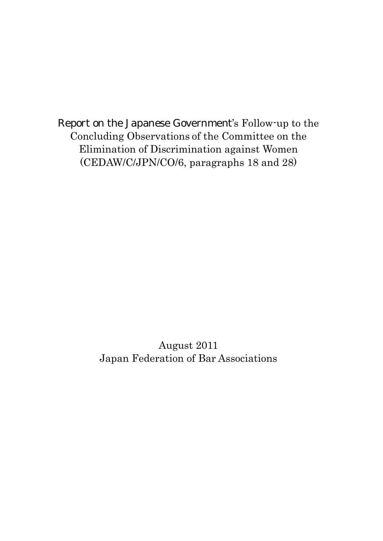Report on the Japanese Government's Follow-up to the Concluding Observations of the Committee on the Elimination of Discrimination against Women (CEDAW/C/JPN/CO/6, paragraphs 18 and 28)

> August 2011 Japan Federation of Bar Associations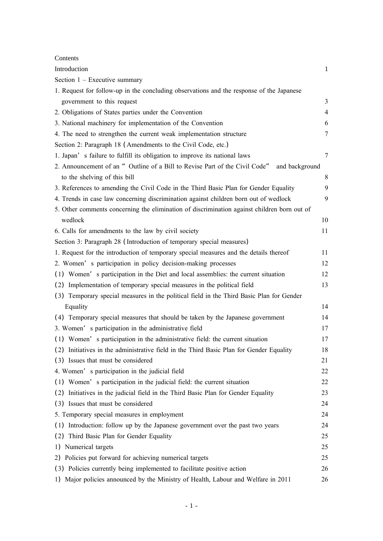#### Contents

| Introduction                                                                                  | $\mathbf{1}$   |
|-----------------------------------------------------------------------------------------------|----------------|
| Section $1 -$ Executive summary                                                               |                |
| 1. Request for follow-up in the concluding observations and the response of the Japanese      |                |
| government to this request                                                                    | $\mathfrak{Z}$ |
| 2. Obligations of States parties under the Convention                                         | $\overline{4}$ |
| 3. National machinery for implementation of the Convention                                    | 6              |
| 4. The need to strengthen the current weak implementation structure                           | 7              |
| Section 2: Paragraph 18 (Amendments to the Civil Code, etc.)                                  |                |
| 1. Japan's failure to fulfill its obligation to improve its national laws                     | 7              |
| 2. Announcement of an " Outline of a Bill to Revise Part of the Civil Code"<br>and background |                |
| to the shelving of this bill                                                                  | 8              |
| 3. References to amending the Civil Code in the Third Basic Plan for Gender Equality          | 9              |
| 4. Trends in case law concerning discrimination against children born out of wedlock          | 9              |
| 5. Other comments concerning the elimination of discrimination against children born out of   |                |
| wedlock                                                                                       | 10             |
| 6. Calls for amendments to the law by civil society                                           | 11             |
| Section 3: Paragraph 28 (Introduction of temporary special measures)                          |                |
| 1. Request for the introduction of temporary special measures and the details thereof         | 11             |
| 2. Women's participation in policy decision-making processes                                  | 12             |
| (1) Women's participation in the Diet and local assemblies: the current situation             | 12             |
| Implementation of temporary special measures in the political field<br>(2)                    | 13             |
| (3) Temporary special measures in the political field in the Third Basic Plan for Gender      |                |
| Equality                                                                                      | 14             |
| (4) Temporary special measures that should be taken by the Japanese government                | 14             |
| 3. Women's participation in the administrative field                                          | 17             |
| (1) Women's participation in the administrative field: the current situation                  | 17             |
| (2) Initiatives in the administrative field in the Third Basic Plan for Gender Equality       | 18             |
| (3) Issues that must be considered                                                            | 21             |
| 4. Women's participation in the judicial field                                                | 22             |
| (1) Women's participation in the judicial field: the current situation                        | 22             |
| Initiatives in the judicial field in the Third Basic Plan for Gender Equality<br>(2)          | 23             |
| (3) Issues that must be considered                                                            | 24             |
| 5. Temporary special measures in employment                                                   | 24             |
| (1) Introduction: follow up by the Japanese government over the past two years                | 24             |
| Third Basic Plan for Gender Equality<br>(2)                                                   | 25             |
| Numerical targets<br>1)                                                                       | 25             |
| Policies put forward for achieving numerical targets<br>2)                                    | 25             |
| (3) Policies currently being implemented to facilitate positive action                        | 26             |
| 1) Major policies announced by the Ministry of Health, Labour and Welfare in 2011             | 26             |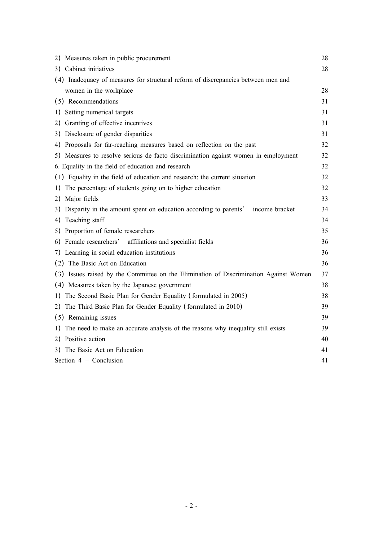| 2) Measures taken in public procurement                                                  | 28 |
|------------------------------------------------------------------------------------------|----|
| 3) Cabinet initiatives                                                                   | 28 |
| (4) Inadequacy of measures for structural reform of discrepancies between men and        |    |
| women in the workplace                                                                   | 28 |
| (5) Recommendations                                                                      | 31 |
| Setting numerical targets<br>1)                                                          | 31 |
| Granting of effective incentives<br>2)                                                   | 31 |
| 3) Disclosure of gender disparities                                                      | 31 |
| 4) Proposals for far-reaching measures based on reflection on the past                   | 32 |
| 5) Measures to resolve serious de facto discrimination against women in employment       | 32 |
| 6. Equality in the field of education and research                                       | 32 |
| (1) Equality in the field of education and research: the current situation               | 32 |
| The percentage of students going on to higher education<br>1)                            | 32 |
| Major fields<br>2)                                                                       | 33 |
| Disparity in the amount spent on education according to parents'<br>income bracket<br>3) | 34 |
| Teaching staff<br>4)                                                                     | 34 |
| Proportion of female researchers<br>5)                                                   | 35 |
| Female researchers' affiliations and specialist fields<br>6)                             | 36 |
| 7) Learning in social education institutions                                             | 36 |
| (2) The Basic Act on Education                                                           | 36 |
| (3) Issues raised by the Committee on the Elimination of Discrimination Against Women    | 37 |
| (4) Measures taken by the Japanese government                                            | 38 |
| 1) The Second Basic Plan for Gender Equality (formulated in 2005)                        | 38 |
| 2) The Third Basic Plan for Gender Equality (formulated in 2010)                         | 39 |
| (5) Remaining issues                                                                     | 39 |
| The need to make an accurate analysis of the reasons why inequality still exists<br>1)   | 39 |
| 2) Positive action                                                                       | 40 |
| 3) The Basic Act on Education                                                            | 41 |
| Section 4 - Conclusion                                                                   | 41 |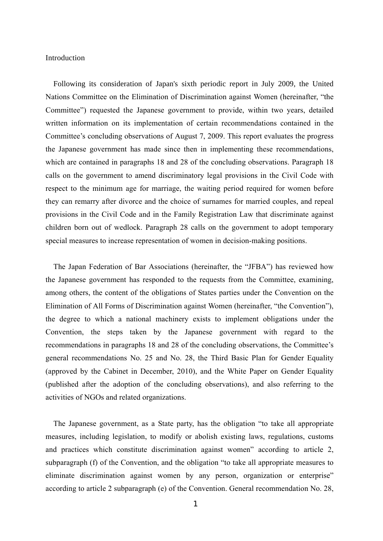#### Introduction

Following its consideration of Japan's sixth periodic report in July 2009, the United Nations Committee on the Elimination of Discrimination against Women (hereinafter, "the Committee") requested the Japanese government to provide, within two years, detailed written information on its implementation of certain recommendations contained in the Committee's concluding observations of August 7, 2009. This report evaluates the progress the Japanese government has made since then in implementing these recommendations, which are contained in paragraphs 18 and 28 of the concluding observations. Paragraph 18 calls on the government to amend discriminatory legal provisions in the Civil Code with respect to the minimum age for marriage, the waiting period required for women before they can remarry after divorce and the choice of surnames for married couples, and repeal provisions in the Civil Code and in the Family Registration Law that discriminate against children born out of wedlock. Paragraph 28 calls on the government to adopt temporary special measures to increase representation of women in decision-making positions.

The Japan Federation of Bar Associations (hereinafter, the "JFBA") has reviewed how the Japanese government has responded to the requests from the Committee, examining, among others, the content of the obligations of States parties under the Convention on the Elimination of All Forms of Discrimination against Women (hereinafter, "the Convention"), the degree to which a national machinery exists to implement obligations under the Convention, the steps taken by the Japanese government with regard to the recommendations in paragraphs 18and 28 of the concluding observations, the Committee's general recommendations No. 25 and No. 28, the Third Basic Plan for Gender Equality (approved by the Cabinet in December, 2010), and the White Paper on Gender Equality (published after the adoption of the concluding observations), and also referring to the activities of NGOs and related organizations.

The Japanese government, as a State party, has the obligation "to take all appropriate m easures, including legislation, to modify or abolish existing laws, regulations, customs and practices which constitute discrimination against women" according to article 2, subparagraph (f) of the Convention, and the obligation "to take all appropriate measures to eliminate discrimination against women by any person, organization or enterprise" according to article 2 subparagraph (e) of the Convention. General recommendation No. 28,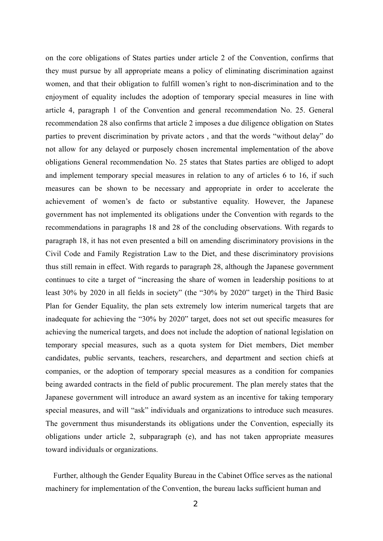on the core obligations of States parties under article 2 of the Convention, confirms that they must pursue by all appropriate means a policy of eliminating discrimination against women, and that their obligation to fulfill women's right to non-discrimination and to the enjoyment of equality includes the adoption of temporary special measures in line with article 4, paragraph 1 of the Convention and general recommendation No. 25. General recommendation 28 also confirms that article 2 imposes a due diligence obligation on States parties to prevent discrimination by private actors, and that the words "without delay" do not allow for any delayed or purposely chosen incremental implementation of the above obligations General recommendation No. 25 states that States parties are obliged to adopt and implement temporary special measures in relation to any of articles 6 to 16, if such m easures can be shown to be necessary and appropriate in order to accelerate the a chievement of women's de facto or substantive equality. However, the Japanese government has not implemented its obligations under the Convention with regards to the recommendations in paragraphs 18 and 28 of the concluding observations. With regards to paragraph 18, it has not even presented a bill on amending discriminatory provisions in the Civil Code and Family Registration Law to the Diet, and these discriminatory provisions thus still remain in effect. With regards to paragraph 28, although the Japanese government continues to cite a target of "increasing the share of women in leadership positions to at least 30% by 2020 in all fields in society" (the "30% by 2020" target) in the Third Basic Plan for Gender Equality, the plan sets extremely low interim numerical targets that are inadequate for achieving the "30% by 2020" target, does not set out specific measures for achieving the numerical targets, and does not include the adoption of national legislation on temporary special measures, such as a quota system for Diet members, Diet member candidates, public servants, teachers, researchers, and department and section chiefs at companies, or the adoption of temporary special measures as a condition for companies being awarded contracts in the field of public procurement. The plan merely states that the Japanese government will introduce an award system as an incentive for taking temporary special measures, and will "ask" individuals and organizations to introduce such measures. The government thus misunderstands its obligations under the Convention, especially its obligations under article 2, subparagraph (e), and has not taken appropriate measures toward individuals or organizations.

Further, although the Gender Equality Bureau in the Cabinet Office serves as the national machinery for implementation of the Convention, the bureau lacks sufficient human and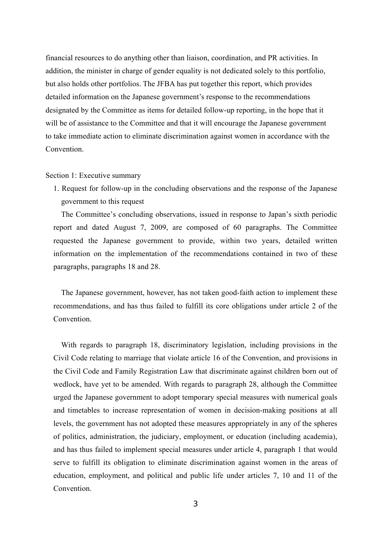financial resources to do anything other than liaison, coordination, and PR activities. In addition, the minister in charge of gender equality is not dedicated solely to this portfolio, but also holds other portfolios. The JFBA has put together this report, which provides detailed information on the Japanese government's response to the recommendations designated by the Committee as items for detailed follow-up reporting, in the hope that it will be of assistance to the Committee and that it will encourage the Japanese government to take immediate action to eliminate discrimination against women in accordance with the Convention.

# Section 1: Executive summary

1. Request for follow-up in the concluding observations and the response of the Japanese government to this request

The Committee's concluding observations, issued in response to Japan's sixth periodic report and dated August 7, 2009, are composed of 60 paragraphs. The Committee requested the Japanese government to provide, within two years, detailed written information on the implementation of the recommendations contained in two of these paragraphs, paragraphs 18 and 28.

The Japanese government, however, has not taken good-faith action to implement these recommendations, and has thus failed to fulfill its core obligations under article 2 of the Convention.

With regards to paragraph 18, discriminatory legislation, including provisions in the Civil Code relating to marriage that violate article 16 of the Convention, and provisions in the Civil Code and Family Registration Law that discriminate against children born out of wedlock, have yet to be amended. With regards to paragraph 28, although the Committee urged the Japanese government to adopt temporary special measures with numerical goals and timetables to increase representation of women in decision-making positions at all levels, the government has not adopted these measures appropriately in any of the spheres of politics, administration, the judiciary, employment, or education (including academia), and has thus failed to implement special measures under article 4, paragraph 1 that would serve to fulfill its obligation to eliminate discrimination against women in the areas of education, employment, and political and public life under articles 7, 10 and 11 of the Convention.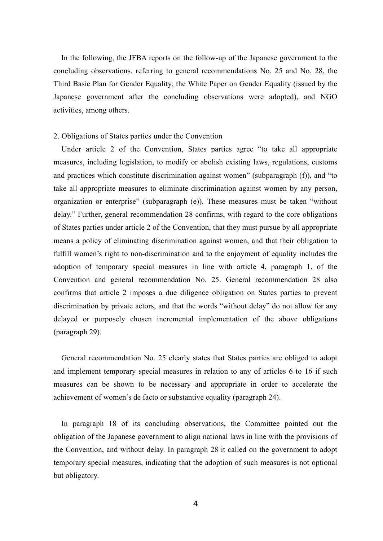In the following, the JFBA reports on the follow-up of the Japanese government to the concluding observations, referring to general recommendations No. 25 and No. 28, the Third Basic Plan for Gender Equality, the White Paper on Gender Equality (issued by the Japanese government after the concluding observations were adopted), and NGO activities, among others.

# 2. Obligations of States parties under the Convention

Under article 2 of the Convention, States parties agree "to take all appropriate measures, including legislation, to modify or abolish existing laws, regulations, customs and practices which constitute discrimination against women" (subparagraph  $(f)$ ), and "to take all appropriate measures to eliminate discrimination against women by any person, organization or enterprise" (subparagraph (e)). These measures must be taken "without delay." Further, general recommendation 28 confirms, with regard to the core obligations of States parties under article 2 of the Convention, that they must pursue by all appropriate means a policy of eliminating discrimination against women, and that their obligation to fulfill women's right to non-discrimination and to the enjoyment of equality includes the adoption of temporary special measures in line with article 4, paragraph 1, of the Convention and general recommendation No. 25. General recommendation 28 also confirms that article 2 imposes a due diligence obligation on States parties to prevent discrimination by private actors, and that the words "without delay" do not allow for any delayed or purposely chosen incremental implementation of the above obligations (paragraph 29).

General recommendation No. 25 clearly states that States parties are obliged to adopt and implement temporary special measures in relation to any of articles 6 to 16 if such m easures can be shown to be necessary and appropriate in order to accelerate the a chievement of women's de facto or substantive equality (paragraph 24).

In paragraph 18 of its concluding observations, the Committee pointed out the obligation of the Japanese government to align national laws in line with the provisions of the Convention, and without delay. In paragraph 28 it called on the government to adopt temporary special measures, indicating that the adoption of such measures is not optional but obligatory.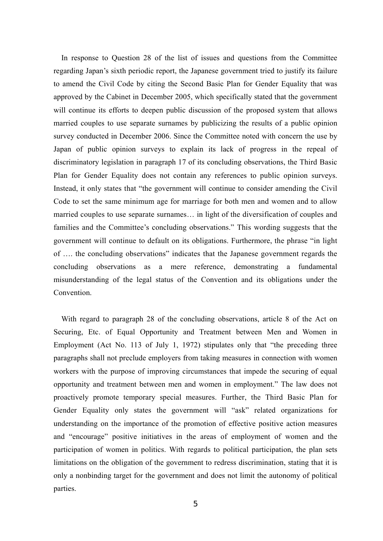In response to Question 28 of the list of issues and questions from the Committee regarding Japan's sixth periodic report, the Japanese government tried to justify its failure to amend the Civil Code by citing the Second Basic Plan for Gender Equality that was approved by the Cabinet in December 2005, which specifically stated that the government will continue its efforts to deepen public discussion of the proposed system that allows married couples to use separate surnames by publicizing the results of a public opinion survey conducted in December 2006. Since the Committee noted with concern the use by Japan of public opinion surveys to explain its lack of progress in the repeal of discriminatory legislation in paragraph 17 of its concluding observations, the Third Basic Plan for Gender Equality does not contain any references to public opinion surveys. Instead, it only states that "the government will continue to consider amending the Civil Code to set the same minimum age for marriage for both men and women and to allow married couples to use separate surnames… in light of the diversification of couples and families and the Committee's concluding observations." This wording suggests that the government will continue to default on its obligations. Furthermore, the phrase "in light of …. the concluding observations" indicates that the Japanese government regards the concluding observations as a mere reference, demonstrating a fundamental misunderstanding of the legal status of the Convention and its obligations under the Convention.

With regard to paragraph 28 of the concluding observations, article 8 of the Act on Securing, Etc. of Equal Opportunity and Treatment between Men and Women in Employment (Act No. 113 of July 1, 1972) stipulates only that "the preceding three paragraphs shall not preclude employers from taking measures in connection with women workers with the purpose of improving circumstances that impede the securing of equal opportunityand treatment between menand women in employment." The law does not proactively promote temporary special measures. Further, the Third Basic Plan for Gender Equality only states the government will "ask" related organizations for understanding on the importance of the promotion of effective positive action measures and "encourage" positive initiatives in the areas of employment of women and the participation of women in politics. With regards to political participation, the plan sets limitations on the obligation of the government to redress discrimination, stating that it is only a nonbinding target for the government and does not limit the autonomy of political parties.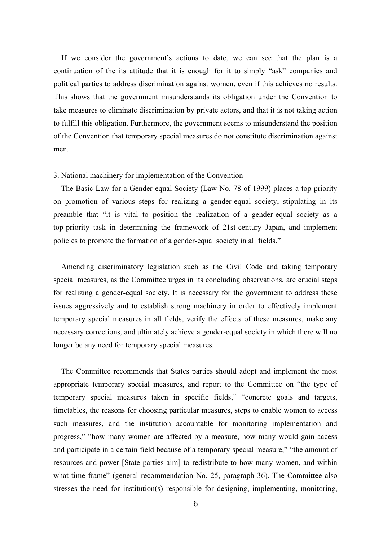If we consider the government's actions to date, we can see that the plan is a<br>continuation of the its attitude that it is enough for it to simply "ask" companies and political parties to address discrimination against women, even if this achieves no results. If we consider the government's actions to date, we can see that the plan is a aThis shows that the government misunderstands its obligation under the Convention to take measures to eliminate discrimination by private actors, and that it is not taking action to fulfill this obligation. Furthermore, the government seems to misunderstand the position of the Convention that temporary special measures do not constitute discrimination against men.

#### 3. National machinery for implementation of the Convention

The Basic Law for a Gender-equal Society (Law No. 78 of 1999) places a top priority on promotion of various steps for realizing a gender-equal society, stipulating in its preamble that "it is vital to position the realization of a gender-equal society as a top-priority task in determining the framework of 21st-century Japan, and implement policies to promote the formation of a gender-equal society in all fields."

Amending discriminatory legislation such as the Civil Code and taking temporary special measures, as the Committee urges in its concluding observations, are crucial steps for realizing a gender-equal society. It is necessary for the government to address these issues aggressively and to establish strong machinery in order to effectively implement temporary special measures in all fields, verify the effects of these measures, make any necessary corrections, and ultimately achieve a gender-equal society in which there will no longer be any need for temporary special measures.

The Committee recommends that States parties should adopt and implement the most appropriate temporary special measures, and report to the Committee on "the type of temporary special measures taken in specific fields," "concrete goals and targets, timetables, the reasons for choosing particular measures, steps to enable women to access such measures, and the institution accountable for monitoring implementation and progress," "how many women are affected by a measure, how many would gain access and participate in a certain field because of a temporary special measure," "the amount of resources and power [State parties aim] to redistribute to how many women, and within what time frame" (general recommendation No. 25, paragraph 36). The Committee also stresses the need for institution(s) responsible for designing, implementing, monitoring,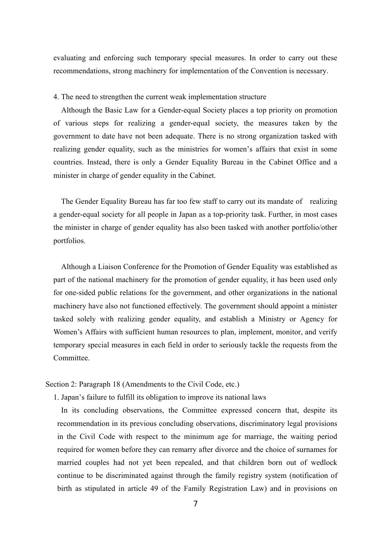evaluating and enforcing such temporary special measures. In order to carry out these recommendations, strong machinery for implementation of the Convention is necessary.

#### 4. The need to strengthen the current weak implementation structure

Although the Basic Law for a Gender-equal Society places a top priority on promotion of various steps for realizing a gender-equal society, the measures taken by the government to date have not been adequate. There is no strong organization tasked with realizing gender equality, such as the ministries for women's affairs that exist in some countries. Instead, there is only a Gender Equality Bureau in the Cabinet Office and a minister in charge of gender equality in the Cabinet.

The Gender Equality Bureau has far too few staff to carry out its mandate of realizing a gender-equal society for all people in Japan as a top-priority task. Further, in most cases the minister in charge of gender equality has also been tasked with another portfolio/other portfolios.

Although a Liaison Conference for the Promotion of Gender Equality was established as part of the national machinery for the promotion of gender equality, it has been used only for one-sided public relations for the government, and other organizations in the national machinery have also not functioned effectively. The government should appoint a minister tasked solely with realizing gender equality, and establish a Ministry or Agency for Women's Affairs with sufficient human resources to plan, implement, monitor, and verify temporary special measures in each field in order to seriously tackle the requests from the Committee.

# Section 2: Paragraph 18 (Amendments to the Civil Code, etc.)

1. Japan's failure to fulfill its obligation to improve its national laws

In its concluding observations, the Committee expressed concern that, despite its recommendation in its previous concluding observations, discriminatory legal provisions in the Civil Code with respect to the minimum age for marriage, the waiting period required for women before they can remarry after divorce and the choice of surnames for married couples had not yet been repealed, and that children born out of wedlock continue to be discriminated against through the family registry system (notification of birth as stipulated in article 49 of the Family Registration Law) and in provisions on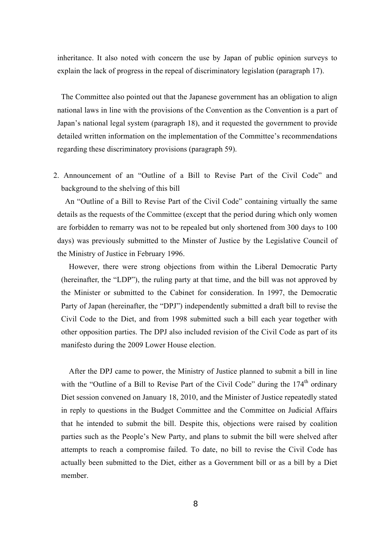inheritance. It also noted with concern the use by Japan of public opinion surveys to explain the lack of progress in the repeal of discriminatory legislation (paragraph 17).

The Committee also pointed out that the Japanese government has an obligation to align national laws in line with the provisions of the Convention as the Convention is a part of Japan's national legal system (paragraph 18), and it requested the government to provide detailed written information on the implementation of the Committee's recommendations regarding these discriminatory provisions (paragraph 59).

2. Announcement of an "Outline of a Bill to Revise Part of the Civil Code" and background to the shelving of this bill

An "Outline of a Bill to Revise Part of the Civil Code" containing virtually the same details as the requests of the Committee (except that the period during which only women are forbidden to remarry was not to be repealed but only shortened from 300 days to 100 days) was previously submitted to the Minster of Justice by the Legislative Council of the Ministry of Justice in February 1996.

However, there were strong objections from within the Liberal Democratic Party (hereinafter, the "LDP"), the ruling party at that time, and the bill was not approved by the Minister or submitted to the Cabinet for consideration. In 1997, the Democratic Party of Japan (hereinafter, the "DPJ") independently submitted a draft bill to revise the Civil Code to the Diet, and from 1998 submitted such a bill each year together with other opposition parties. The DPJ also included revision of the Civil Code as part of its manifesto during the 2009 Lower House election.

After the DPJ came to power, the Ministry of Justice planned to submit a bill in line with the "Outline of a Bill to Revise Part of the Civil Code" during the  $174<sup>th</sup>$  ordinary Diet session convened on January 18, 2010, and the Minister of Justice repeatedly stated in reply to questions in the Budget Committee and the Committee on Judicial Affairs that he intended to submit the bill. Despite this, objections were raised by coalition parties such as the People's New Party, and plans to submit the bill were shelved after attempts to reach a compromise failed. To date, no bill to revise the Civil Code has actually been submitted to the Diet, either as a Government bill or as a bill by a Diet member.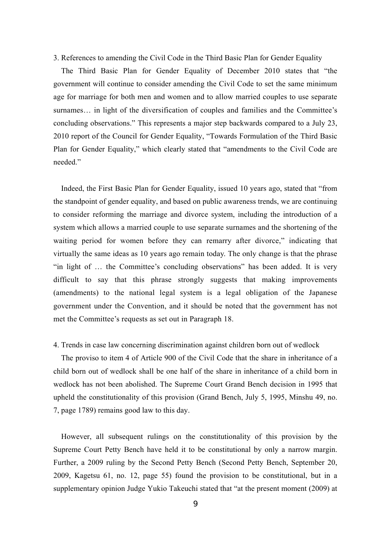3. References to amending the Civil Code in the Third Basic Plan for Gender Equality

The Third Basic Plan for Gender Equality of December 2010 states that "the government will continue to consider amending the Civil Code to set the same minimum age for marriage for both men and women and to allow married couples to use separate surnames… in light of the diversification of couples and families and the Committee's concluding observations." This represents a major step backwards compared to a July 23, 2010 report of the Council for Gender Equality, "Towards Formulation of the Third Basic Plan for Gender Equality," which clearly stated that "amendments to the Civil Code are needed."

Indeed, the First Basic Plan for Gender Equality, issued 10 years ago, stated that "from the standpoint of gender equality, and based on public awareness trends, we are continuing to consider reforming the marriage and divorce system, including the introduction of a system which allows a married couple to use separate surnames and the shortening of the waiting period for women before they can remarry after divorce," indicating that virtually the same ideas as 10 years ago remain today. The only change is that the phrase "in light of … the Committee's concluding observations" has been added. It is very difficult to say that this phrase strongly suggests that making improvements (amendments) to the national legal system is a legal obligation of the Japanese government under the Convention, and it should be noted that the government has not met the Committee's requests as set out in Paragraph 18.

# 4. Trends in case law concerning discrimination against children born out of wedlock

The proviso to item 4 of Article 900 of the Civil Code that the share in inheritance of a child born out of wedlock shall be one half of the share in inheritance of a child born in wedlock has not been abolished. The Supreme Court Grand Bench decision in 1995 that upheld the constitutionality of this provision (Grand Bench, July 5, 1995, Minshu 49, no. 7, page 1789) remains good law to this day.

However, all subsequent rulings on the constitutionality of this provision by the Supreme Court Petty Bench have held it to be constitutional by only a narrow margin. Further, a 2009 ruling by the Second Petty Bench (Second Petty Bench, September 20, 2009, Kagetsu 61, no. 12, page 55) found the provision to be constitutional, but in a supplementary opinion Judge Yukio Takeuchi stated that "at the present moment (2009) at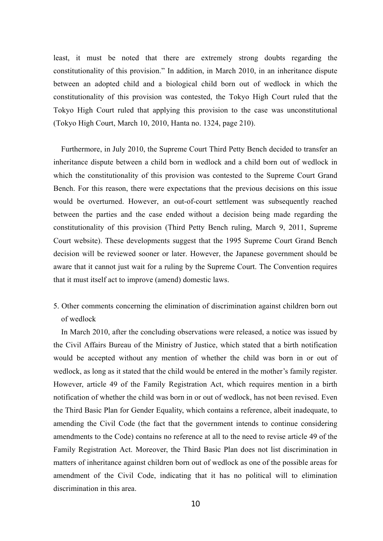least, it must be noted that there are extremely strong doubts regarding the constitutionality of this provision." In addition, in March 2010, in an inheritance dispute between an adopted child and a biological child born out of wedlock in which the constitutionality of this provision was contested, the Tokyo High Court ruled that the Tokyo High Court ruled that applying this provision to the case was unconstitutional (Tokyo High Court, March 10, 2010, Hanta no. 1324, page 210).

Furthermore, in July 2010, the Supreme Court Third Petty Bench decided to transfer an inheritance dispute between a child born in wedlock and a child born out of wedlock in which the constitutionality of this provision was contested to the Supreme Court Grand Bench. For this reason, there were expectations that the previous decisions on this issue would be overturned. However, an out-of-court settlement was subsequently reached between the parties and the case ended without a decision being made regarding the constitutionality of this provision (Third Petty Bench ruling, March 9, 2011, Supreme Court website). These developments suggest that the 1995 Supreme Court Grand Bench decision will be reviewed sooner or later. However, the Japanese government should be aware that it cannot just wait for a ruling by the Supreme Court. The Convention requires that it must itself act to improve (amend) domestic laws.

5. Other comments concerning the elimination of discrimination against children born out of wedlock

In March 2010, after the concluding observations were released, a notice was issued by the Civil Affairs Bureau of the Ministry of Justice, which stated that a birth notification would be accepted without any mention of whether the child was born in or out of wedlock, as long as it stated that the child would be entered in the mother's family register. However, article 49 of the Family Registration Act, which requires mention in a birth notification of whether the child was born in or out of wedlock, has not been revised. Even the Third Basic Plan for Gender Equality, which contains a reference, albeit inadequate, to amending the Civil Code (the fact that the government intends to continue considering amendments to the Code) contains no reference at all to the need to revise article 49 of the Family Registration Act. Moreover, the Third Basic Plan does not list discrimination in matters of inheritance against children born out of wedlock as one of the possible areas for amendment of the Civil Code, indicating that it has no political will to elimination discrimination in this area.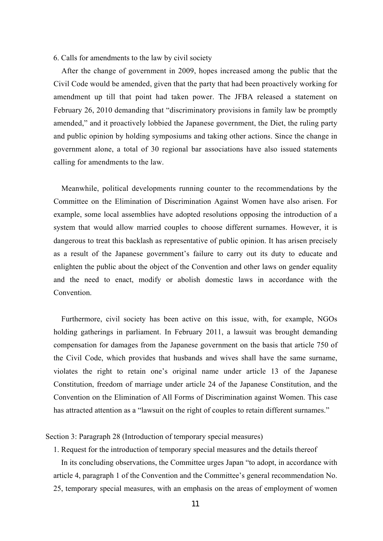#### 6. Calls for amendments to the law by civil society

After the change of government in 2009, hopes increased among the public that the Civil Code would be amended, given that the party that had been proactively working for amendment up till that point had taken power. The JFBA released a statement on February 26, 2010 demanding that "discriminatory provisions in family law be promptly amended," and it proactively lobbied the Japanese government, the Diet, the ruling party and public opinion by holding symposiums and taking other actions. Since the change in government alone, a total of 30 regional bar associations have also issued statements calling for amendments to the law.

Meanwhile, political developments running counter to the recommendations by the Committee on the Elimination of Discrimination Against Women have also arisen. For example, some local assemblies have adopted resolutions opposing the introduction of a system that would allow married couples to choose different surnames. However, it is d angerous to treat this backlash as representative of public opinion. It has arisen precisely a saresult of the Japanese government's failure to carry out its duty to educate and enlighten the public about the object of the Convention and other laws on gender equality and the need to enact, modify or abolish domestic laws in accordance with the Convention.

Furthermore, civil society has been active on this issue, with, for example, NGOs holding gatherings in parliament. In February 2011, a lawsuit was brought demanding compensation for damages from the Japanese government on the basis that article 750 of the Civil Code, which provides that husbands and wives shall have the same surname, violates the right to retain one's original name under article 13 of the Japanese Constitution, freedom of marriage under article 24 of the Japanese Constitution, and the Convention on the Elimination of All Forms of Discrimination against Women. This case has attracted attention as a "lawsuit on the right of couples to retain different surnames."

Section 3: Paragraph 28 (Introduction of temporary special measures)

1. Request for the introduction of temporary special measures and the details thereof

a rticle 4, paragraph 1 of the Conventionand the Committee's general recommendation No. In its concluding observations, the Committee urges Japan "to adopt, in accordance with 25, temporary special measures, with an emphasis on the areas of employment of women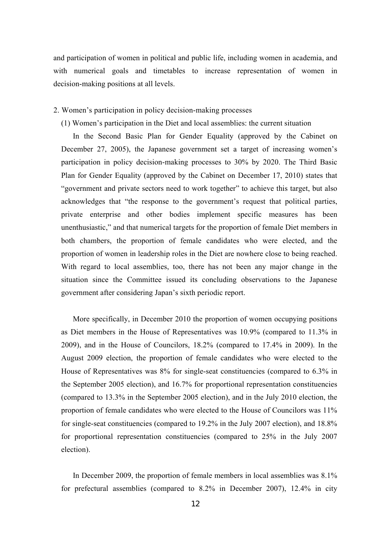and participation of women in political and public life, including women in academia, and with numerical goals and timetables to increase representation of women in decision-making positions at all levels.

# 2. Women's participation in policy decision-making processes

# (1) Women's participation in the Dietand localassemblies: the current situation

In the Second Basic Plan for Gender Equality (approved by the Cabinet on December 27, 2005), the Japanese government set a target of increasing women's participation in policy decision-making processes to 30% by 2020. The Third Basic Plan for Gender Equality (approved by the Cabinet on December 17, 2010) states that "government and private sectors need to work together" to achieve this target, but also acknowledges that "the response to the government's request that political parties, private enterprise and other bodies implement specific measures has been unenthusiastic," and that numerical targets for the proportion of female Diet members in both chambers, the proportion of female candidates who were elected, and the proportion of women in leadership roles in the Diet are nowhere close to being reached. With regard to local assemblies, too, there has not been any major change in the situation since the Committee issued its concluding observations to the Japanese government after considering Japan's sixth periodic report.

More specifically, in December 2010 the proportion of women occupying positions as Diet members in the House of Representatives was 10.9% (compared to 11.3% in 2009), and in the House of Councilors, 18.2% (compared to 17.4% in 2009). In the August 2009 election, the proportion of female candidates who were elected to the House of Representatives was 8% for single-seat constituencies (compared to 6.3% in the September 2005 election), and 16.7% for proportional representation constituencies (compared to 13.3% in the September 2005 election), and in the July 2010 election, the proportion of female candidates who were elected to the House of Councilors was 11% for single-seat constituencies (compared to 19.2% in the July 2007 election), and 18.8% for proportional representation constituencies (compared to 25% in the July 2007 election).

In December 2009, the proportion of female members in local assemblies was 8.1% for prefectural assemblies (compared to 8.2% in December 2007), 12.4% in city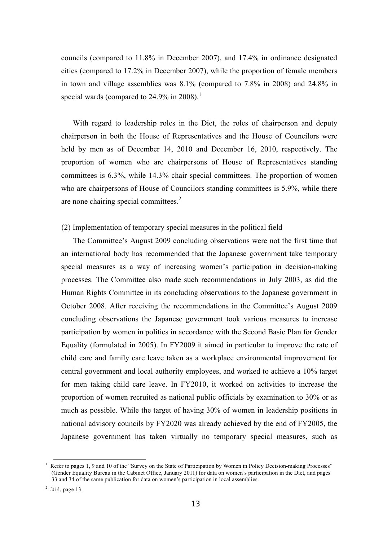councils (compared to 11.8% in December 2007), and 17.4% in ordinance designated cities (compared to 17.2% in December 2007), while the proportion of female members in town and village assemblies was 8.1% (compared to 7.8% in 2008) and 24.8% in special wards (compared to  $24.9\%$  in  $2008$ ).<sup>1</sup>

With regard to leadership roles in the Diet, the roles of chairperson and deputy chairperson in both the House of Representatives and the House of Councilors were held by men as of December 14, 2010 and December 16, 2010, respectively. The proportion of women who are chairpersons of House of Representatives standing committees is 6.3%, while 14.3% chair special committees. The proportion of women who are chairpersons of House of Councilors standing committees is 5.9%, while there are none chairing special committees.<sup>2</sup>

# (2) Implementation of temporary special measures in the political field

The Committee's August 2009 concluding observations were not the first time that an international body has recommended that the Japanese government take temporary special measures as a way of increasing women's participation in decision-making processes. The Committee also made such recommendations in July 2003, as did the Human Rights Committee in its concluding observations to the Japanese government in October 2008. After receiving the recommendations in the Committee's August 2009 concluding observations the Japanese government took various measures to increase participation by women in politics in accordance with the Second Basic Plan for Gender Equality (formulated in 2005). In FY2009 it aimed in particular to improve the rate of child care and family care leave taken as a workplace environmental improvement for central government and local authority employees, and worked to achieve a 10% target for men taking child care leave. In FY2010, it worked on activities to increase the proportion of women recruited as national public officials by examination to 30% or as much as possible. While the target of having 30% of women in leadership positions in national advisory councils by FY2020 was already achieved by the end of FY2005, the Japanese government has taken virtually no temporary special measures, such as

<sup>&</sup>lt;sup>1</sup> Refer to pages 1, 9 and 10 of the "Survey on the State of Participation by Women in Policy Decision-making Processes" (Gender Equality Bureau in the Cabinet Office, January 2011) for dataon women's participation in the Diet, and pages 33 and 34 of the same publication for dataon women's participation in local assemblies.

<sup>2</sup> *Ib id*, page 13.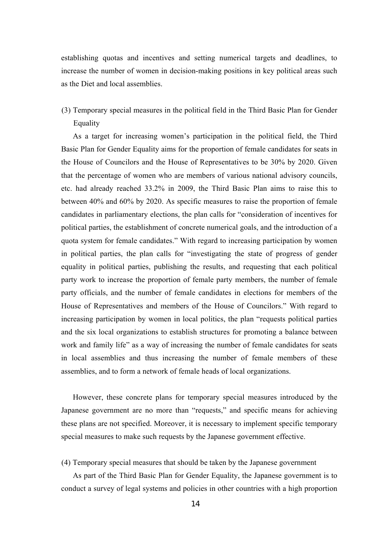establishing quotas and incentives and setting numerical targets and deadlines, to increase the number of women in decision-making positions in key political areas such as the Diet and local assemblies.

# (3) Temporary special measures in the political field in the Third Basic Plan for Gender Equality

As a target for increasing women's participation in the political field, the Third Basic Plan for Gender Equality aims for the proportion of female candidates for seats in the House of Councilors and the House of Representatives to be 30% by 2020. Given that the percentage of women who are members of various national advisory councils, etc. had already reached 33.2% in 2009, the Third Basic Plan aims to raise this to between 40% and 60% by 2020. As specific measures to raise the proportion of female candidates in parliamentary elections, the plan calls for "consideration of incentives for political parties, the establishment of concrete numerical goals, and the introduction of a quota system for female candidates." With regard to increasing participation by women in political parties, the plan calls for "investigating the state of progress of gender equality in political parties, publishing the results, and requesting that each political party work to increase the proportion of female party members, the number of female party officials, and the number of female candidates in elections for members of the House of Representatives and members of the House of Councilors." With regard to increasing participation by women in local politics, the plan "requests political parties and the six local organizations to establish structures for promoting a balance between work and family life" as a way of increasing the number of female candidates for seats in local assemblies and thus increasing the number of female members of these assemblies, and to form a network of female heads of local organizations.

However, these concrete plans for temporary special measures introduced by the Japanese government are no more than "requests," and specific means for achieving these plans are not specified. Moreover, it is necessary to implement specific temporary special measures to make such requests by the Japanese government effective.

(4) Temporary special measures that should be taken by the Japanese government

As part of the Third Basic Plan for Gender Equality, the Japanese government is to conduct a survey of legal systems and policies in other countries with a high proportion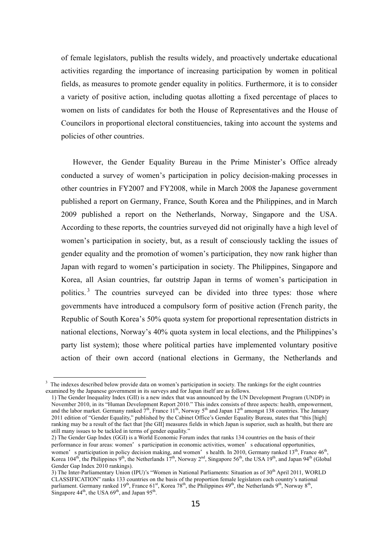of female legislators, publish the results widely, and proactively undertake educational activities regarding the importance of increasing participation by women in political fields, as measures to promote gender equality in politics. Furthermore, it is to consider a variety of positive action, including quotas allotting a fixed percentage of places to women on lists of candidates for both the House of Representatives and the House of Councilors in proportional electoral constituencies, taking into account the systems and policies of other countries.

However, the Gender Equality Bureau in the Prime Minister's Office already conducted a survey of women's participation in policy decision-making processes in other countries in FY2007 and FY2008, while in March 2008 the Japanese government published a report on Germany, France, South Korea and the Philippines, and in March 2009 published a report on the Netherlands, Norway, Singapore and the USA. According to these reports, the countries surveyed did not originally have a high level of women's participation in society, but, as a result of consciously tackling the issues of gender equality and the promotion of women's participation, they now rank higher than Japan with regard to women's participation in society. The Philippines, Singapore and Korea, all Asian countries, far outstrip Japan in terms of women's participation in politics.<sup>3</sup> The countries surveyed can be divided into three types: those where governments have introduced a compulsory form of positive action (French parity, the Republic of South Korea's 50% quota system for proportional representation districts in national elections, Norway's 40% quota system in local elections, and the Philippines's party list system); those where political parties have implemented voluntary positive action of their own accord (national elections in Germany, the Netherlands and

 $3$  The indexes described below provide data on women's participation in society. The rankings for the eight countries examined by the Japanese government in its surveys and for Japan itself are as follows.

<sup>1)</sup> The Gender Inequality Index (GII) is a new index that was announced by the UN Development Program (UNDP) in November 2010, in its "Human Development Report 2010." This index consists of three aspects: health, empowerment, and the labor market. Germany ranked  $7<sup>th</sup>$ , France 11<sup>th</sup>, Norway 5<sup>th</sup> and Japan 12<sup>th</sup> amongst 138 countries. The January 2011 edition of "Gender Equality," published by the Cabinet Office's Gender Equality Bureau, states that "this [high] ranking may be a result of the fact that [the GII] measures fields in which Japan is superior, such as health, but there are still many issues to be tackled in terms of gender equality."

<sup>2)</sup> The Gender Gap Index (GGI) is a World Economic Forum index that ranks 134 countries on the basis of their performance in four areas: women's participation in economic activities, women's educational opportunities, women's participation in policy decision making, and women's health. In 2010, Germany ranked  $13<sup>th</sup>$ , France  $46<sup>th</sup>$ , Korea  $104^{\text{th}}$ , the Philippines 9<sup>th</sup>, the Netherlands  $17^{\text{th}}$ , Norway 2<sup>nd</sup>, Singapore 56<sup>th</sup>, the USA  $19^{\text{th}}$ , and Japan 94<sup>th</sup> (Global Gender Gap Index 2010 rankings).

<sup>3)</sup> The Inter-Parliamentary Union (IPU)'s "Women in National Parliaments: Situation as of 30<sup>th</sup> April 2011, WORLD CLASSIFICATION" ranks 133 countries on the basis of the proportion female legislators each country's national parliament. Germany ranked 19<sup>th</sup>, France 61<sup>st</sup>, Korea 78<sup>th</sup>, the Philippines 49<sup>th</sup>, the Netherlands 9<sup>th</sup>, Norway 8<sup>th</sup>, Singapore  $44^{\text{th}}$ , the USA  $69^{\text{th}}$ , and Japan  $95^{\text{th}}$ .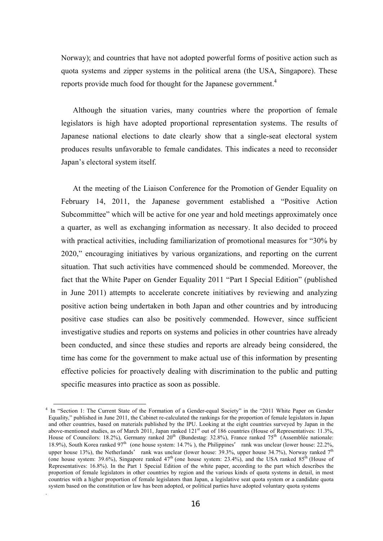Norway); and countries that have not adopted powerful forms of positive action such as quota systems and zipper systems in the political arena (the USA, Singapore). These reports provide much food for thought for the Japanese government.<sup>4</sup>

Although the situation varies, many countries where the proportion of female legislators is high have adopted proportional representation systems. The results of Japanese national elections to date clearly show that a single-seat electoral system produces results unfavorable to female candidates. This indicates a need to reconsider Japan's electoral system itself.

At the meeting of the Liaison Conference for the Promotion of Gender Equality on February 14, 2011, the Japanese government established a "Positive Action Subcommittee" which will be active for one year and hold meetings approximately once a quarter, as well as exchanging information as necessary. It also decided to proceed with practical activities, including familiarization of promotional measures for "30% by 2020," encouraging initiatives by various organizations, and reporting on the current situation. That such activities have commenced should be commended. Moreover, the fact that the White Paper on Gender Equality 2011 "Part I Special Edition" (published in June 2011) attempts to accelerate concrete initiatives by reviewing and analyzing positive action being undertaken in both Japan and other countries and by introducing positive case studies can also be positively commended. However, since sufficient investigative studies and reports on systems and policies in other countries have already been conducted, and since these studies and reports are already being considered, the time has come for the government to make actual use of this information by presenting effective policies for proactively dealing with discrimination to the public and putting specific measures into practice as soon as possible.

.

<sup>&</sup>lt;sup>4</sup> In "Section 1: The Current State of the Formation of a Gender-equal Society" in the "2011 White Paper on Gender Equality," published in June 2011, the Cabinet re-calculated the rankings for the proportion of female legislators in Japan and other countries, based on materials published by the IPU. Looking at the eight countries surveyed by Japan in the above-mentioned studies, as of March 2011, Japan ranked  $121<sup>st</sup>$  out of 186 countries (House of Representatives: 11.3%, House of Councilors: 18.2%), Germany ranked 20<sup>th</sup> (Bundestag: 32.8%), France ranked 75<sup>th</sup> (Assemblée nationale: 18.9%), South Korea ranked  $97<sup>th</sup>$  (one house system: 14.7%), the Philippines' rank was unclear (lower house: 22.2%, upper house 13%), the Netherlands' rank was unclear (lower house: 39.3%, upper house 34.7%), Norway ranked  $7<sup>th</sup>$ (one house system: 39.6%), Singapore ranked  $47<sup>th</sup>$  (one house system: 23.4%), and the USA ranked  $85<sup>th</sup>$  (House of Representatives: 16.8%). In the Part 1 Special Edition of the white paper, according to the part which describes the proportion of female legislators in other countries by region and the various kinds of quota systems in detail, in most countries with a higher proportion of female legislators than Japan, a legislative seat quota system or a candidate quota system based on the constitution or law has been adopted, or political parties have adopted voluntary quota systems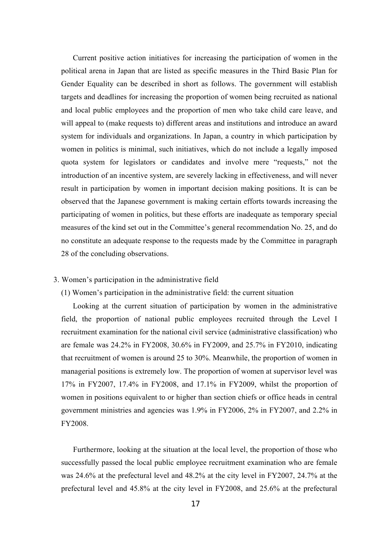Current positive action initiatives for increasing the participation of women in the political arena in Japan that are listed as specific measures in the Third Basic Plan for Gender Equality can be described in short as follows. The government will establish targets and deadlines for increasing the proportion of women being recruited as national and local public employees and the proportion of men who take child care leave, and will appeal to (make requests to) different areas and institutions and introduce an award system for individuals and organizations. In Japan, a country in which participation by women in politics is minimal, such initiatives, which do not include a legally imposed quota system for legislators or candidates and involve mere "requests," not the introduction of an incentive system, are severely lacking in effectiveness, and will never result in participation by women in important decision making positions. It is can be observed that the Japanese government is making certain efforts towards increasing the participating of women in politics, but these efforts are inadequate as temporary special measures of the kind set out in the Committee's general recommendation No. 25, and do no constitute an adequate response to the requests made by the Committee in paragraph 28 of the concluding observations.

#### 3. Women's participation in the administrative field

# (1) Women's participation in the administrative field: the current situation

Looking at the current situation of participation by women in the administrative field, the proportion of national public employees recruited through the Level I recruitment examination for the national civil service (administrative classification) who are female was 24.2% in FY2008, 30.6% in FY2009, and 25.7% in FY2010, indicating that recruitment of women is around 25 to 30%. Meanwhile, the proportion of women in managerial positions is extremely low. The proportion of women at supervisor level was 17% in FY2007, 17.4% in FY2008, and 17.1% in FY2009, whilst the proportion of women in positions equivalent to or higher than section chiefs or office heads in central government ministries and agencies was 1.9% in FY2006, 2% in FY2007, and 2.2% in FY2008.

Furthermore, looking at the situation at the local level, the proportion of those who successfully passed the local public employee recruitment examination who are female was 24.6% at the prefectural level and 48.2% at the city level in FY2007, 24.7% at the prefectural level and 45.8% at the city level in FY2008, and 25.6% at the prefectural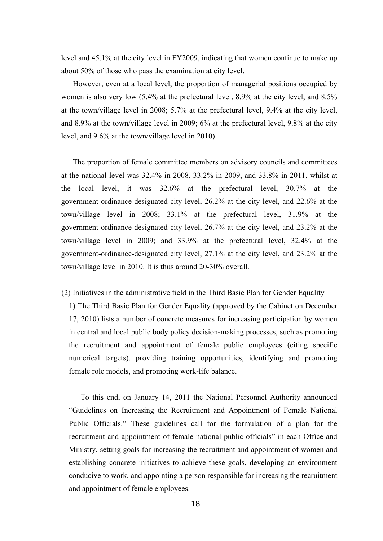level and 45.1% at the city level in FY2009, indicating that women continue to make up about 50% of those who pass the examination at city level.

However, even at a local level, the proportion of managerial positions occupied by women is also very low (5.4% at the prefectural level, 8.9% at the city level, and 8.5% at the town/village level in 2008; 5.7% at the prefectural level, 9.4% at the city level, and 8.9% at the town/village level in 2009; 6% at the prefectural level, 9.8% at the city level, and 9.6% at the town/village level in 2010).

The proportion of female committee members on advisory councils and committees at the national level was 32.4% in 2008, 33.2% in 2009, and 33.8% in 2011, whilst at the local level, it was 32.6% at the prefectural level, 30.7% at the government-ordinance-designated city level, 26.2% at the city level, and 22.6% at the town/village level in 2008; 33.1% at the prefectural level, 31.9% at the government-ordinance-designated city level, 26.7% at the city level, and 23.2% at the town/village level in 2009; and 33.9% at the prefectural level, 32.4% at the government-ordinance-designated city level, 27.1% at the city level, and 23.2% at the town/village level in 2010. It is thus around 20-30% overall.

(2) Initiatives in the administrative field in the Third Basic Plan for Gender Equality

1) The Third Basic Plan for Gender Equality (approved by the Cabinet on December 17, 2010) lists a number of concrete measures for increasing participation by women in central and local public body policy decision-making processes, such as promoting the recruitment and appointment of female public employees (citing specific numerical targets), providing training opportunities, identifying and promoting female role models, and promoting work-life balance.

To this end, on January 14, 2011 the National Personnel Authority announced "Guidelines on Increasing the Recruitment and Appointment of Female National Public Officials." These guidelines call for the formulation of a plan for the recruitment and appointment of female national public officials" in each Office and Ministry, setting goals for increasing the recruitment and appointment of women and establishing concrete initiatives to achieve these goals, developing an environment conducive to work, and appointing a person responsible for increasing the recruitment and appointment of female employees.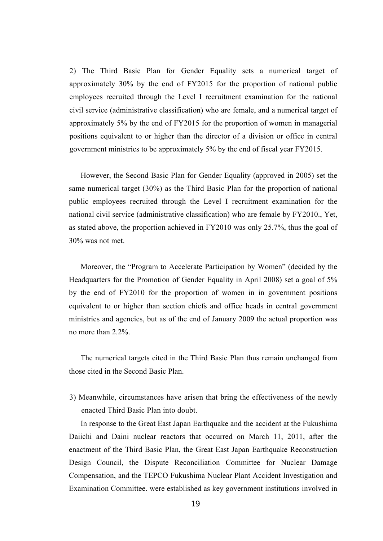2) The Third Basic Plan for Gender Equality sets a numerical target of approximately 30% by the end of FY2015 for the proportion of national public employees recruited through the Level I recruitment examination for the national civil service (administrative classification) who are female, and a numerical target of approximately 5% by the end of FY2015 for the proportion of women in managerial positions equivalent to or higher than the director of a division or office in central government ministries to be approximately 5% by the end of fiscal year FY2015.

However, the Second Basic Plan for Gender Equality (approved in 2005) set the same numerical target (30%) as the Third Basic Plan for the proportion of national public employees recruited through the Level I recruitment examination for the national civil service (administrative classification) who are female by FY2010., Yet, as stated above, the proportion achieved in FY2010 was only 25.7%, thus the goal of 30% was not met.

Moreover, the "Program to Accelerate Participation by Women" (decided by the Headquarters for the Promotion of Gender Equality in April 2008) set a goal of 5% by the end of FY2010 for the proportion of women in in government positions equivalent to or higher than section chiefs and office heads in central government ministries and agencies, but as of the end of January 2009 the actual proportion was no more than 2.2%.

The numerical targets cited in the Third Basic Plan thus remain unchanged from those cited in the Second Basic Plan.

3) Meanwhile, circumstances have arisen that bring the effectiveness of the newly enacted Third Basic Plan into doubt.

In response to the Great East Japan Earthquake and the accident at the Fukushima Daiichi and Daini nuclear reactors that occurred on March 11, 2011, after the enactment of the Third Basic Plan, the Great East Japan Earthquake Reconstruction Design Council, the Dispute Reconciliation Committee for Nuclear Damage Compensation, and the TEPCO Fukushima Nuclear Plant Accident Investigation and Examination Committee. were established as key government institutions involved in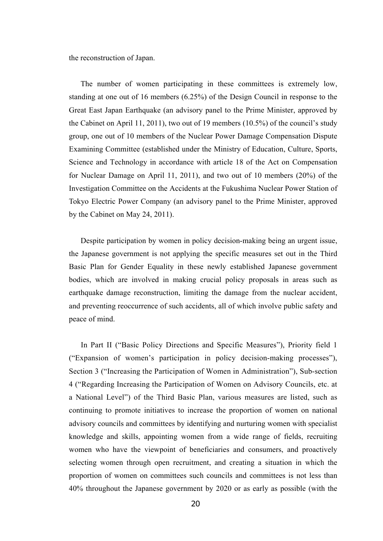the reconstruction of Japan.

The number of women participating in these committees is extremely low, standing at one out of 16 members (6.25%) of the Design Council in response to the Great East Japan Earthquake (an advisory panel to the Prime Minister, approved by the Cabinet on April 11, 2011), two out of 19 members (10.5%) of the council's study group, one out of 10 members of the Nuclear Power Damage Compensation Dispute Examining Committee (established under the Ministry of Education, Culture, Sports, Science and Technology in accordance with article 18 of the Act on Compensation for Nuclear Damage on April 11, 2011), and two out of 10 members (20%) of the Investigation Committee on the Accidents at the Fukushima Nuclear Power Station of Tokyo Electric Power Company (an advisory panel to the Prime Minister, approved by the Cabinet on May 24, 2011).

Despite participation by women in policy decision-making being an urgent issue, the Japanese government is not applying the specific measures set out in the Third Basic Plan for Gender Equality in these newly established Japanese government bodies, which are involved in making crucial policy proposals in areas such as earthquake damage reconstruction, limiting the damage from the nuclear accident, and preventing reoccurrence of such accidents, all of which involve public safety and peace of mind.

In Part II ("Basic Policy Directions and Specific Measures"), Priority field 1 ("Expansion of women's participation in policy decision-making processes"), Section 3 ("Increasing the Participation of Women in Administration"), Sub-section 4 ("Regarding Increasing the Participation of Women on Advisory Councils, etc. at a National Level") of the Third Basic Plan, various measures are listed, such as continuing to promote initiatives to increase the proportion of women on national advisory councils and committees by identifying and nurturing women with specialist knowledge and skills, appointing women from a wide range of fields, recruiting women who have the viewpoint of beneficiaries and consumers, and proactively selecting women through open recruitment, and creating a situation in which the proportion of women on committees such councils and committees is not less than 40% throughout the Japanese government by 2020 or as early as possible (with the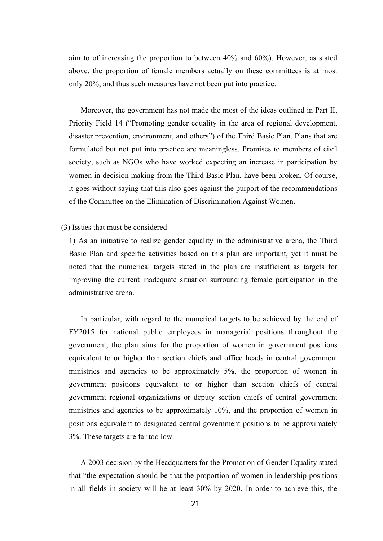aim to of increasing the proportion to between 40% and 60%). However, as stated above, the proportion of female members actually on these committees is at most only 20%, and thus such measures have not been put into practice.

Moreover, the government has not made the most of the ideas outlined in Part II, Priority Field 14 ("Promoting gender equality in the area of regional development, disaster prevention, environment, and others") of the Third Basic Plan. Plans that are formulated but not put into practice are meaningless. Promises to members of civil society, such as NGOs who have worked expecting an increase in participation by women in decision making from the Third Basic Plan, have been broken. Of course, it goes without saying that this also goes against the purport of the recommendations of the Committee on the Elimination of Discrimination Against Women.

# (3) Issues that must be considered

1) As an initiative to realize gender equality in the administrative arena, the Third Basic Plan and specific activities based on this plan are important, yet it must be noted that the numerical targets stated in the plan are insufficient as targets for improving the current inadequate situation surrounding female participation in the administrative arena.

In particular, with regard to the numerical targets to be achieved by the end of FY2015 for national public employees in managerial positions throughout the government, the plan aims for the proportion of women in government positions equivalent to or higher than section chiefs and office heads in central government ministries and agencies to be approximately 5%, the proportion of women in government positions equivalent to or higher than section chiefs of central government regional organizations or deputy section chiefs of central government ministries and agencies to be approximately 10%, and the proportion of women in positions equivalent to designated central government positions to be approximately 3%. These targets are far too low.

A 2003 decision by the Headquarters for the Promotion of Gender Equality stated that "the expectation should be that the proportion of women in leadership positions in all fields in society will be at least 30% by 2020. In order to achieve this, the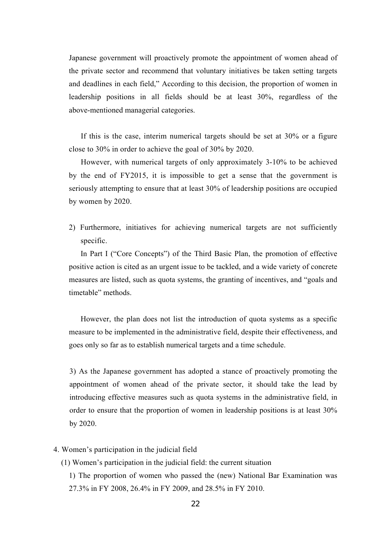Japanese government will proactively promote the appointment of women ahead of the private sector and recommend that voluntary initiatives be taken setting targets and deadlines in each field," According to this decision, the proportion of women in leadership positions in all fields should be at least 30%, regardless of the above-mentioned managerial categories.

If this is the case, interim numerical targets should be set at 30% or a figure close to 30% in order to achieve the goal of 30% by 2020.

However, with numerical targets of only approximately 3-10% to be achieved by the end of FY2015, it is impossible to get a sense that the government is seriously attempting to ensure that at least 30% of leadership positions are occupied by women by 2020.

2) Furthermore, initiatives for achieving numerical targets are not sufficiently specific.

In Part I ("Core Concepts") of the Third Basic Plan, the promotion of effective positive action is cited as an urgent issue to be tackled, and a wide variety of concrete measures are listed, such as quota systems, the granting of incentives, and "goals and timetable" methods.

However, the plan does not list the introduction of quota systems as a specific measure to be implemented in the administrative field, despite their effectiveness, and goes only so far as to establish numerical targets and a time schedule.

3) As the Japanese government has adopted a stance of proactively promoting the appointment of women ahead of the private sector, it should take the lead by introducing effective measures such as quota systems in the administrative field, in order to ensure that the proportion of women in leadership positions is at least 30% by 2020.

- 4. Women's participation in the judicial field
	- (1) Women's participation in the judicial field: the current situation
		- 1) The proportion of women who passed the (new) National Bar Examination was 27.3% in FY 2008, 26.4% in FY 2009, and 28.5% in FY 2010.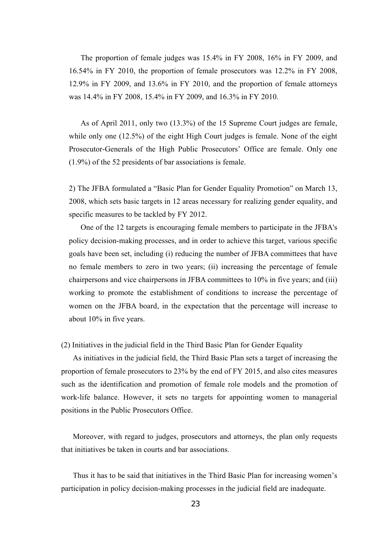The proportion of female judges was 15.4% in FY 2008, 16% in FY 2009, and 16.54% in FY 2010, the proportion of female prosecutors was 12.2% in FY 2008, 12.9% in FY 2009, and 13.6% in FY 2010, and the proportion of female attorneys was 14.4% in FY 2008, 15.4% in FY 2009, and 16.3% in FY 2010.

As of April 2011, only two (13.3%) of the 15 Supreme Court judges are female, while only one (12.5%) of the eight High Court judges is female. None of the eight Prosecutor-Generals of the High Public Prosecutors' Officeare female. Only one (1.9%) of the 52 presidents of bar associations is female.

2) The JFBA formulated a "Basic Plan for Gender Equality Promotion" on March 13, 2008, which sets basic targets in 12 areas necessary for realizing gender equality, and specific measures to be tackled by FY 2012.

One of the 12 targets is encouraging female members to participate in the JFBA's policy decision-making processes, and in order to achieve this target, various specific goals have been set, including (i) reducing the number of JFBA committees that have no female members to zero in two years; (ii) increasing the percentage of female chairpersons and vice chairpersons in JFBA committees to 10% in five years; and (iii) working to promote the establishment of conditions to increase the percentage of women on the JFBA board, in the expectation that the percentage will increase to about 10% in five years.

(2) Initiatives in the judicial field in the Third Basic Plan for Gender Equality

As initiatives in the judicial field, the Third Basic Plan sets a target of increasing the proportion of female prosecutors to 23% by the end of FY 2015, and also cites measures such as the identification and promotion of female role models and the promotion of work-life balance. However, it sets no targets for appointing women to managerial positions in the Public Prosecutors Office.

Moreover, with regard to judges, prosecutors and attorneys, the plan only requests that initiatives be taken in courts and bar associations.

Thus it has to be said that initiatives in the Third Basic Plan for increasing women's participation in policy decision-making processes in the judicial field are inadequate.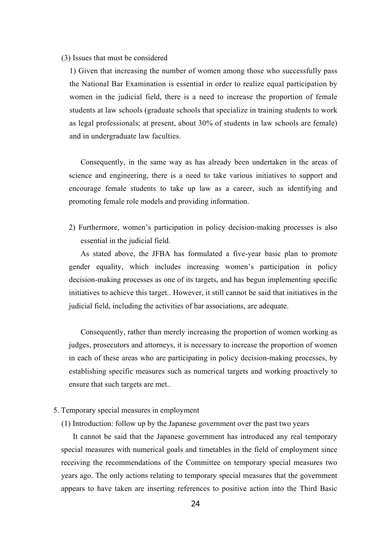#### (3) Issues that must be considered

1) Given that increasing the number of women among those who successfully pass the National Bar Examination is essential in order to realize equal participation by women in the judicial field, there is a need to increase the proportion of female students at law schools (graduate schools that specialize in training students to work as legal professionals; at present, about 30% of students in law schools are female) and in undergraduate law faculties.

Consequently, in the same way as has already been undertaken in the areas of science and engineering, there is a need to take various initiatives to support and encourage female students to take up law as a career, such as identifying and promoting female role models and providing information.

2) Furthermore, women's participation in policy decision-making processes is also essential in the judicial field.

As stated above, the JFBA has formulated a five-year basic plan to promote gender equality, which includes increasing women's participation in policy decision-making processes as one of its targets, and has begun implementing specific initiatives to achieve this target.. However, it still cannot be said that initiatives in the judicial field, including the activities of bar associations, are adequate.

Consequently, rather than merely increasing the proportion of women working as judges, prosecutors and attorneys, it is necessary to increase the proportion of women in each of these areas who are participating in policy decision-making processes, by establishing specific measures such as numerical targets and working proactively to ensure that such targets are met..

# 5. Temporary special measures in employment

(1) Introduction: follow up by the Japanese government over the past two years

It cannot be said that the Japanese government has introduced any real temporary special measures with numerical goals and timetables in the field of employment since receiving the recommendations of the Committee on temporary special measures two years ago. The only actions relating to temporary special measures that the government appears to have taken are inserting references to positive action into the Third Basic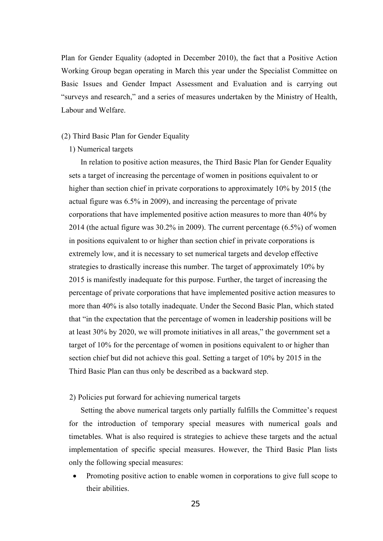Plan for Gender Equality (adopted in December 2010), the fact that a Positive Action Working Group began operating in March this year under the Specialist Committee on Basic Issues and Gender Impact Assessment and Evaluation and is carrying out "surveys and research," and a series of measures undertaken by the Ministry of Health, Labour and Welfare.

# (2) Third Basic Plan for Gender Equality

# 1) Numerical targets

In relation to positive action measures, the Third Basic Plan for Gender Equality sets a target of increasing the percentage of women in positions equivalent to or higher than section chief in private corporations to approximately 10% by 2015 (the actual figure was 6.5% in 2009), and increasing the percentage of private corporations that have implemented positive action measures to more than 40% by 2014 (the actual figure was 30.2% in 2009). The current percentage (6.5%) of women in positions equivalent to or higher than section chief in private corporations is extremely low, and it is necessary to set numerical targets and develop effective strategies to drastically increase this number. The target of approximately 10% by 2015 is manifestly inadequate for this purpose. Further, the target of increasing the percentage of private corporations that have implemented positive action measures to more than 40% is also totally inadequate. Under the Second Basic Plan, which stated t hat "in the expectation that the percentage of women in leadership positions will be at least 30% by 2020, we will promote initiatives in all areas," the government set a target of 10% for the percentage of women in positions equivalent to or higher than section chief but did not achieve this goal. Setting a target of 10% by 2015 in the a Third Basic Plan can thus only be described as a backward step.

# 2) Policies put forward for achieving numerical targets

Setting the above numerical targets only partially fulfills the Committee's request for the introduction of temporary special measures with numerical goals and timetables. What is also required is strategies to achieve these targets and the actual implementation of specific special measures. However, the Third Basic Plan lists only the following special measures:

• Promoting positive action to enable women in corporations to give full scope to their abilities.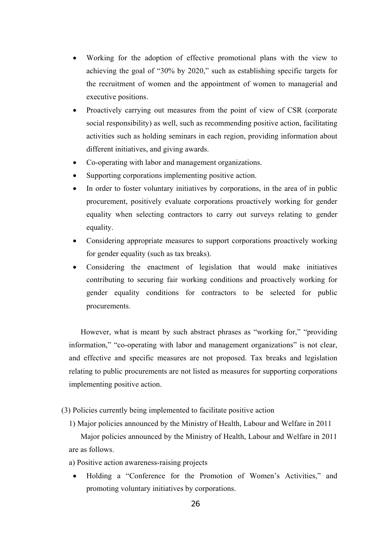- W orking for the adoption of effective promotional plans with the view to achieving the goal of "30% by 2020," such as establishing specific targets for the recruitment of women and the appointment of women to managerial and executive positions.
- Proactively carrying out measures from the point of view of CSR (corporate social responsibility) as well, such as recommending positive action, facilitating activities such as holding seminars in each region, providing information about different initiatives, and giving awards.
- Co-operating with labor and management organizations.
- Supporting corporations implementing positive action.
- In order to foster voluntary initiatives by corporations, in the area of in public procurement, positively evaluate corporations proactively working for gender equality when selecting contractors to carry out surveys relating to gender equality.
- Considering appropriate measures to support corporations proactively working for gender equality (such as tax breaks).
- Considering the enactment of legislation that would make initiatives contributing to securing fair working conditions and proactively working for gender equality conditions for contractors to be selected for public procurements.

However, what is meant by such abstract phrases as "working for," "providing information," "co-operating with laborand management organizations" is not clear, and effective and specific measures are not proposed. Tax breaks and legislation relating to public procurements are not listed as measures for supporting corporations implementing positive action.

(3) Policies currently being implemented to facilitate positive action

1) Major policies announced by the Ministry of Health, Labour and Welfare in 2011

Major policies announced by the Ministry of Health, Labour and Welfare in 2011 are as follows.

- a) Positive action awareness-raising projects
- Holding a "Conference for the Promotion of Women's Activities," and promoting voluntary initiatives by corporations.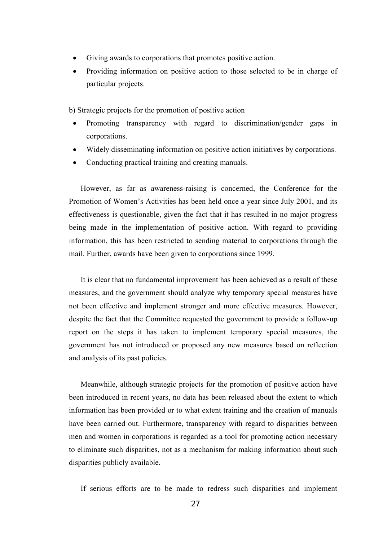- Giving awards to corporations that promotes positive action.
- Providing information on positive action to those selected to be in charge of particular projects.

b) Strategic projects for the promotion of positive action

- Promoting transparency with regard to discrimination/gender gaps in corporations.
- Widely disseminating information on positive action initiatives by corporations.
- Conducting practical training and creating manuals.

However, as far as awareness-raising is concerned, the Conference for the Promotion of Women's Activities has been held once a year since July 2001, and its effectiveness is questionable, given the fact that it has resulted in no major progress being made in the implementation of positive action. With regard to providing information, this has been restricted to sending material to corporations through the mail. Further, awards have been given to corporations since 1999.

It is clear that no fundamental improvement has been achieved as a result of these measures, and the government should analyze why temporary special measures have not been effective and implement stronger and more effective measures. However, despite the fact that the Committee requested the government to provide a follow-up report on the steps it has taken to implement temporary special measures, the government has not introduced or proposed any new measures based on reflection and analysis of its past policies.

Meanwhile, although strategic projects for the promotion of positive action have been introduced in recent years, no data has been released about the extent to which information has been provided or to what extent training and the creation of manuals have been carried out. Furthermore, transparency with regard to disparities between men and women in corporations is regarded as a tool for promoting action necessary to eliminate such disparities, not as a mechanism for making information about such disparities publicly available.

If serious efforts are to be made to redress such disparities and implement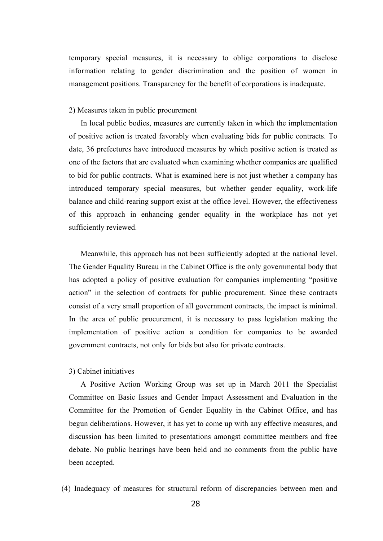temporary special measures, it is necessary to oblige corporations to disclose information relating to gender discrimination and the position of women in management positions. Transparency for the benefit of corporations is inadequate.

#### 2) Measures taken in public procurement

In local public bodies, measures are currently taken in which the implementation of positive action is treated favorably when evaluating bids for public contracts. To date, 36 prefectures have introduced measures by which positive action is treated as one of the factors that are evaluated when examining whether companies are qualified to bid for public contracts. What is examined here is not just whether a company has introduced temporary special measures, but whether gender equality, work-life balance and child-rearing support exist at the office level. However, the effectiveness of this approach in enhancing gender equality in the workplace has not yet sufficiently reviewed.

Meanwhile, this approach has not been sufficiently adopted at the national level. The Gender Equality Bureau in the Cabinet Office is the only governmental body that has adopted a policy of positive evaluation for companies implementing "positive a ction" in the selection of contracts for public procurement. Since these contracts consist of a very small proportion of all government contracts, the impact is minimal. In the area of public procurement, it is necessary to pass legislation making the implementation of positive action a condition for companies to be awarded government contracts, not only for bids but also for private contracts.

#### 3) Cabinet initiatives

A Positive Action Working Group was set up in March 2011 the Specialist Committee on Basic Issues and Gender Impact Assessment and Evaluation in the Committee for the Promotion of Gender Equality in the Cabinet Office, and has begun deliberations. However, it has yet to come up with any effective measures, and discussion has been limited to presentations amongst committee members and free debate. No public hearings have been held and no comments from the public have been accepted.

(4) Inadequacy of measures for structural reform of discrepancies between men and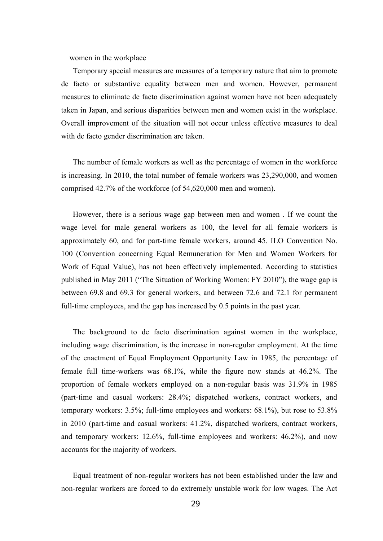women in the workplace

Temporary special measures are measures of a temporary nature that aim to promote de facto or substantive equality between men and women. However, permanent measures to eliminate de facto discrimination against women have not been adequately taken in Japan, and serious disparities between men and women exist in the workplace. Overall improvement of the situation will not occur unless effective measures to deal with de facto gender discrimination are taken.

The number of female workers as well as the percentage of women in the workforce is increasing. In 2010, the total number of female workers was 23,290,000, and women comprised 42.7% of the workforce (of 54,620,000 men and women).

However, there is a serious wage gap between men and women . If we count the wage level for male general workers as 100, the level for all female workers is approximately 60, and for part-time female workers, around 45. ILO Convention No. 100 (Convention concerning Equal Remuneration for Men and Women Workers for Work of Equal Value), has not been effectively implemented. According to statistics published in May 2011 ("The Situation of Working Women: FY 2010"), the wage gap is between 69.8 and 69.3 for general workers, and between 72.6 and 72.1 for permanent full-time employees, and the gap has increased by 0.5 points in the past year.

The background to de facto discrimination against women in the workplace, including wage discrimination, is the increase in non-regular employment. At the time of the enactment of Equal Employment Opportunity Law in 1985, the percentage of female full time-workers was 68.1%, while the figure now stands at 46.2%. The proportion of female workers employed on a non-regular basis was 31.9% in 1985 (part-time and casual workers: 28.4%; dispatched workers, contract workers, and temporary workers: 3.5%; full-time employees and workers: 68.1%), but rose to 53.8% in 2010 (part-time and casual workers: 41.2%, dispatched workers, contract workers, and temporary workers: 12.6%, full-time employees and workers: 46.2%), and now accounts for the majority of workers.

Equal treatment of non-regular workers has not been established under the law and non-regular workers are forced to do extremely unstable work for low wages. The Act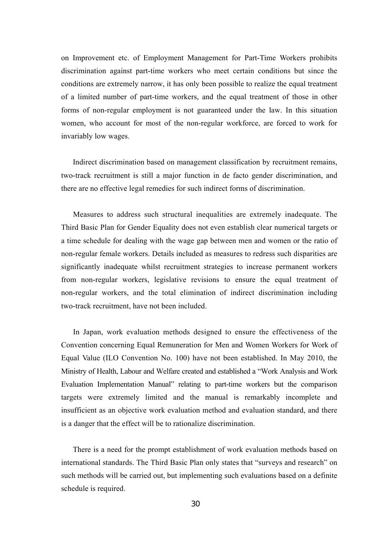on Improvement etc. of Employment Management for Part-Time Workers prohibits discrimination against part-time workers who meet certain conditions but since the conditions are extremely narrow, it has only been possible to realize the equal treatment of a limited number of part-time workers, and the equal treatment of those in other forms of non-regular employment is not guaranteed under the law. In this situation women, who account for most of the non-regular workforce, are forced to work for invariably low wages.

Indirect discrimination based on management classification by recruitment remains, two-track recruitment is still a major function in de facto gender discrimination, and there are no effective legal remedies for such indirect forms of discrimination.

Measures to address such structural inequalities are extremely inadequate. The Third Basic Plan for Gender Equality does not even establish clear numerical targets or a time schedule for dealing with the wage gap between men and women or the ratio of non-regular female workers. Details included as measures to redress such disparities are significantly inadequate whilst recruitment strategies to increase permanent workers from non-regular workers, legislative revisions to ensure the equal treatment of non-regular workers, and the total elimination of indirect discrimination including two-track recruitment, have not been included.

In Japan, work evaluation methods designed to ensure the effectiveness of the Convention concerning Equal Remuneration for Men and Women Workers for Work of Equal Value (ILO Convention No. 100) have not been established. In May 2010, the Ministry of Health, Labour and Welfare created and established a "Work Analysis and Work Evaluation Implementation Manual" relating to part-time workers but the comparison targets were extremely limited and the manual is remarkably incomplete and insufficient as an objective work evaluation method and evaluation standard, and there is a danger that the effect will be to rationalize discrimination.

There is a need for the prompt establishment of work evaluation methods based on international standards. The Third Basic Plan only states that "surveys and research" on such methods will be carried out, but implementing such evaluations based on a definite schedule is required.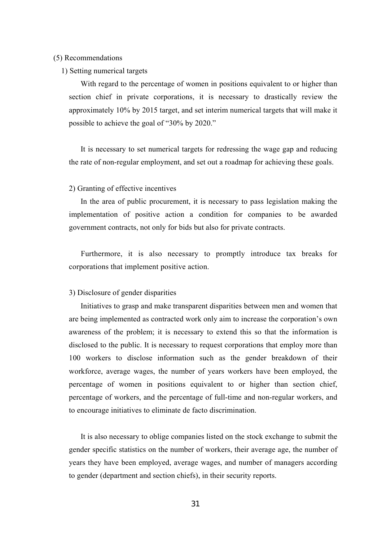#### (5) Recommendations

1) Setting numerical targets

With regard to the percentage of women in positions equivalent to or higher than section chief in private corporations, it is necessary to drastically review the approximately 10% by 2015 target, and set interim numerical targets that will make it possible to achieve the goal of "30% by 2020."

It is necessary to set numerical targets for redressing the wage gap and reducing the rate of non-regular employment, and set out a roadmap for achieving these goals.

#### 2) Granting of effective incentives

In the area of public procurement, it is necessary to pass legislation making the implementation of positive action a condition for companies to be awarded government contracts, not only for bids but also for private contracts.

Furthermore, it is also necessary to promptly introduce tax breaks for corporations that implement positive action.

# 3) Disclosure of gender disparities

are being implemented as contracted work only aim to increase the corporation's own Initiatives to grasp and make transparent disparities between men and women that awareness of the problem; it is necessary to extend this so that the information is disclosed to the public. It is necessary to request corporations that employ more than 100 workers to disclose information such as the gender breakdown of their workforce, average wages, the number of years workers have been employed, the percentage of women in positions equivalent to or higher than section chief, percentage of workers, and the percentage of full-time and non-regular workers, and to encourage initiatives to eliminate de facto discrimination.

It is also necessary to oblige companies listed on the stock exchange to submit the gender specific statistics on the number of workers, their average age, the number of years they have been employed, average wages, and number of managers according to gender (department and section chiefs), in their security reports.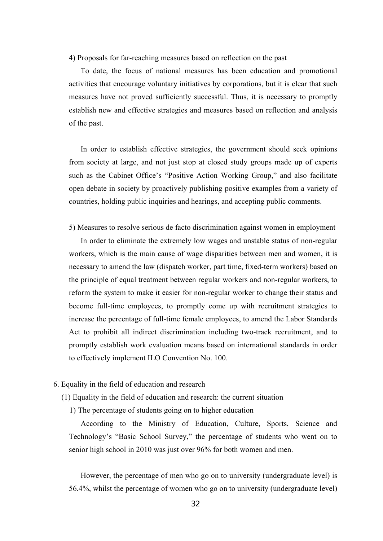4) Proposals for far-reaching measures based on reflection on the past

To date, the focus of national measures has been education and promotional activities that encourage voluntary initiatives by corporations, but it is clear that such measures have not proved sufficiently successful. Thus, it is necessary to promptly establish new and effective strategies and measures based on reflection and analysis of the past.

In order to establish effective strategies, the government should seek opinions from society at large, and not just stop at closed study groups made up of experts such as the Cabinet Office's "Positive Action Working Group," and also facilitate open debate in society by proactively publishing positive examples from a variety of countries, holding public inquiries and hearings, and accepting public comments.

5) Measures to resolve serious de facto discrimination against women in employment

In order to eliminate the extremely low wages and unstable status of non-regular workers, which is the main cause of wage disparities between men and women, it is necessary to amend the law (dispatch worker, part time, fixed-term workers) based on the principle of equal treatment between regular workers and non-regular workers, to reform the system to make it easier for non-regular worker to change their status and become full-time employees, to promptly come up with recruitment strategies to increase the percentage of full-time female employees, to amend the Labor Standards Act to prohibit all indirect discrimination including two-track recruitment, and to promptly establish work evaluation means based on international standards in order to effectively implement ILO Convention No. 100.

- 6. Equality in the field of education and research
	- (1) Equality in the field of education and research: the current situation
		- 1) The percentage of students going on to higher education

According to the Ministry of Education, Culture, Sports, Science and Technology's "Basic School Survey," the percentage of students who went on to senior high school in 2010 was just over 96% for both women and men.

However, the percentage of men who go on to university (undergraduate level) is 56.4%, whilst the percentage of women who go on to university (undergraduate level)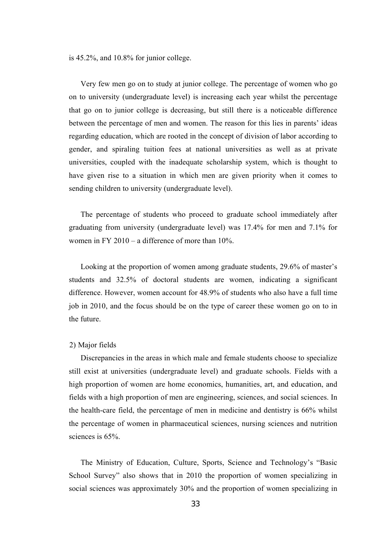is 45.2%, and 10.8% for junior college.

Very few men go on to study at junior college. The percentage of women who go on to university (undergraduate level) is increasing each year whilst the percentage that go on to junior college is decreasing, but still there is a noticeable difference between the percentage of men and women. The reason for this lies in parents' ideas regarding education, which are rooted in the concept of division of labor according to gender, and spiraling tuition fees at national universities as well as at private universities, coupled with the inadequate scholarship system, which is thought to have given rise to a situation in which men are given priority when it comes to sending children to university (undergraduate level).

The percentage of students who proceed to graduate school immediately after graduating from university (undergraduate level) was 17.4% for men and 7.1% for women in FY 2010 – a difference of more than 10%.

Looking at the proportion of women among graduate students, 29.6% of master's students and 32.5% of doctoral students are women, indicating a significant difference. However, women account for 48.9% of students who also have a full time job in 2010, and the focus should be on the type of career these women go on to in the future.

#### 2) Major fields

Discrepancies in the areas in which male and female students choose to specialize still exist at universities (undergraduate level) and graduate schools. Fields with a high proportion of women are home economics, humanities, art, and education, and fields with a high proportion of men are engineering, sciences, and social sciences. In the health-care field, the percentage of men in medicine and dentistry is 66% whilst the percentage of women in pharmaceutical sciences, nursing sciences and nutrition sciences is 65%.

The Ministry of Education, Culture, Sports, Science and Technology's "Basic School Survey" also shows that in 2010 the proportion of women specializing in social sciences was approximately 30% and the proportion of women specializing in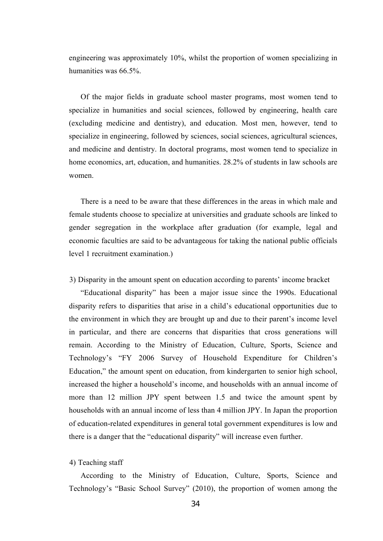engineering was approximately 10%, whilst the proportion of women specializing in humanities was 66.5%.

Of the major fields in graduate school master programs, most women tend to specialize in humanities and social sciences, followed by engineering, health care (excluding medicine and dentistry), and education. Most men, however, tend to specialize in engineering, followed by sciences, social sciences, agricultural sciences, and medicine and dentistry. In doctoral programs, most women tend to specialize in home economics, art, education, and humanities. 28.2% of students in law schools are women.

There is a need to be aware that these differences in the areas in which male and female students choose to specialize at universities and graduate schools are linked to gender segregation in the workplace after graduation (for example, legal and economic faculties are said to be advantageous for taking the national public officials level 1 recruitment examination.)

3) Disparity in the amount spent on education according to parents' income bracket

"Educational disparity" has been a major issue since the 1990s. Educational disparity refers to disparities that arise in a child's educational opportunities due to the environment in which they are brought up and due to their parent's income level in particular, and there are concerns that disparities that cross generations will remain. According to the Ministry of Education, Culture, Sports, Science and Technology's "FY 2006 Survey of Household Expenditure for Children's Education," the amount spent on education, from kindergarten to senior high school, increased the higher a household's income, and households with an annual income of more than 12 million JPY spent between 1.5 and twice the amount spent by households with an annual income of less than 4 million JPY. In Japan the proportion of education-related expenditures in general total government expenditures is low and there is a danger that the "educational disparity" will increase even further.

4) Teaching staff

According to the Ministry of Education, Culture, Sports, Science and Technology's "Basic School Survey" (2010), the proportion of women among the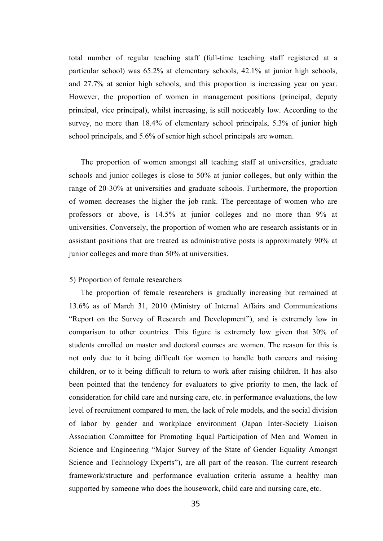total number of regular teaching staff (full-time teaching staff registered at a particular school) was 65.2% at elementary schools, 42.1% at junior high schools, and 27.7% at senior high schools, and this proportion is increasing year on year. However, the proportion of women in management positions (principal, deputy principal, vice principal), whilst increasing, is still noticeably low. According to the survey, no more than 18.4% of elementary school principals, 5.3% of junior high school principals, and 5.6% of senior high school principals are women.

The proportion of women amongst all teaching staff at universities, graduate schools and junior colleges is close to 50% at junior colleges, but only within the range of 20-30% at universities and graduate schools. Furthermore, the proportion of women decreases the higher the job rank. The percentage of women who are professors or above, is 14.5% at junior colleges and no more than 9% at universities. Conversely, the proportion of women who are research assistants or in assistant positions that are treated as administrative posts is approximately 90% at junior colleges and more than 50% at universities.

#### 5) Proportion of female researchers

The proportion of female researchers is gradually increasing but remained at 13.6% as of March 31, 2010 (Ministry of Internal Affairs and Communications "Report on the Survey of Research and Development"), and is extremely low in comparison to other countries. This figure is extremely low given that 30% of students enrolled on master and doctoral courses are women. The reason for this is not only due to it being difficult for women to handle both careers and raising children, or to it being difficult to return to work after raising children. It has also been pointed that the tendency for evaluators to give priority to men, the lack of consideration for child care and nursing care, etc. in performance evaluations, the low level of recruitment compared to men, the lack of role models, and the social division of labor by gender and workplace environment (Japan Inter-Society Liaison Association Committee for Promoting Equal Participation of Men and Women in Science and Engineering "Major Survey of the State of Gender Equality Amongst Science and Technology Experts"), are all part of the reason. The current research framework/structure and performance evaluation criteria assume a healthy man supported by someone who does the housework, child care and nursing care, etc.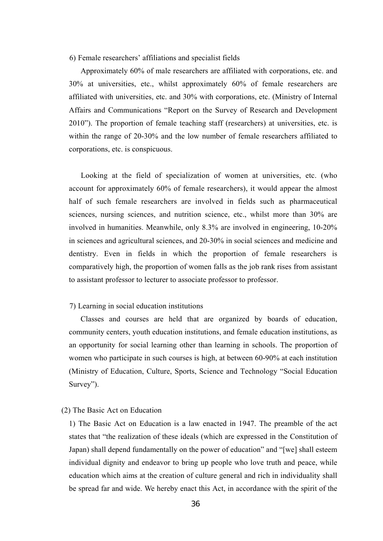#### 6) Female researchers'affiliations and specialist fields

Approximately 60% of male researchers are affiliated with corporations, etc. and 30% at universities, etc., whilst approximately 60% of female researchers are affiliated with universities, etc. and 30% with corporations, etc. (Ministry of Internal Affairs and Communications "Report on the Survey of Research and Development 2010"). The proportion of female teaching staff (researchers) at universities, etc. is within the range of 20-30% and the low number of female researchers affiliated to corporations, etc. is conspicuous.

Looking at the field of specialization of women at universities, etc. (who account for approximately 60% of female researchers), it would appear the almost half of such female researchers are involved in fields such as pharmaceutical sciences, nursing sciences, and nutrition science, etc., whilst more than 30% are involved in humanities. Meanwhile, only 8.3% are involved in engineering, 10-20% in sciences and agricultural sciences, and 20-30% in social sciences and medicine and dentistry. Even in fields in which the proportion of female researchers is comparatively high, the proportion of women falls as the job rank rises from assistant to assistant professor to lecturer to associate professor to professor.

#### 7) Learning in social education institutions

Classes and courses are held that are organized by boards of education, community centers, youth education institutions, and female education institutions, as an opportunity for social learning other than learning in schools. The proportion of women who participate in such courses is high, at between 60-90% at each institution (Ministry of Education, Culture, Sports, Science and Technology "Social Education Survey").

# (2) The Basic Act on Education

1) The Basic Act on Education is a law enacted in 1947. The preamble of the act states that "the realization of these ideals (which are expressed in the Constitution of Japan) shall depend fundamentally on the power of education"and "[we] shall esteem individual dignity and endeavor to bring up people who love truth and peace, while education which aims at the creation of culture general and rich in individuality shall be spread far and wide. We hereby enact this Act, in accordance with the spirit of the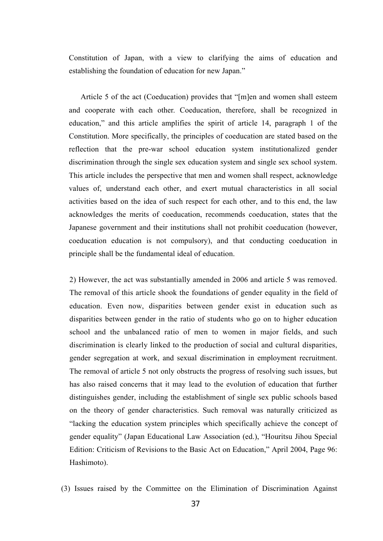Constitution of Japan, with a view to clarifying the aims of education and establishing the foundation of education for new Japan."

Article 5 of the act (Coeducation) provides that "[m]en and women shall esteem and cooperate with each other. Coeducation, therefore, shall be recognized in education," and this article amplifies the spirit of article 14, paragraph 1 of the Constitution. More specifically, the principles of coeducation are stated based on the reflection that the pre-war school education system institutionalized gender discrimination through the single sex education system and single sex school system. This article includes the perspective that men and women shall respect, acknowledge values of, understand each other, and exert mutual characteristics in all social activities based on the idea of such respect for each other, and to this end, the law acknowledges the merits of coeducation, recommends coeducation, states that the Japanese government and their institutions shall not prohibit coeducation (however, coeducation education is not compulsory), and that conducting coeducation in principle shall be the fundamental ideal of education.

2) However, the act was substantially amended in 2006 and article 5 was removed. The removal of this article shook the foundations of gender equality in the field of education. Even now, disparities between gender exist in education such as disparities between gender in the ratio of students who go on to higher education school and the unbalanced ratio of men to women in major fields, and such discrimination is clearly linked to the production of social and cultural disparities, gender segregation at work, and sexual discrimination in employment recruitment. The removal of article 5 not only obstructs the progress of resolving such issues, but has also raised concerns that it may lead to the evolution of education that further distinguishes gender, including the establishment of single sex public schools based on the theory of gender characteristics. Such removal was naturally criticized as "lacking the education system principles which specificallyachieve the concept of gender equality" (Japan Educational Law Association (ed.), "Houritsu Jihou Special Edition: Criticism of Revisions to the Basic Act on Education," April 2004, Page 96: Hashimoto).

(3) Issues raised by the Committee on the Elimination of Discrimination Against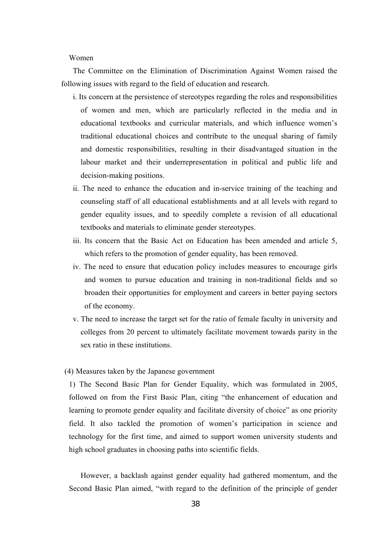#### Women

The Committee on the Elimination of Discrimination Against Women raised the following issues with regard to the field of education and research.

- i. Its concern at the persistence of stereotypes regarding the roles and responsibilities of women and men, which are particularly reflected in the media and in educational textbooks and curricular materials, and which influence women's traditional educational choices and contribute to the unequal sharing of family and domestic responsibilities, resulting in their disadvantaged situation in the labour market and their underrepresentation in political and public life and decision-making positions.
- ii. The need to enhance the education and in-service training of the teaching and counseling staff of all educational establishments and at all levels with regard to gender equality issues, and to speedily complete a revision of all educational textbooks and materials to eliminate gender stereotypes.
- iii. Its concern that the Basic Act on Education has been amended and article 5, which refers to the promotion of gender equality, has been removed.
- iv. The need to ensure that education policy includes measures to encourage girls and women to pursue education and training in non-traditional fields and so broaden their opportunities for employment and careers in better paying sectors of the economy.
- v. The need to increase the target set for the ratio of female faculty in university and colleges from 20 percent to ultimately facilitate movement towards parity in the sex ratio in these institutions.

# (4) Measures taken by the Japanese government

1) The Second Basic Plan for Gender Equality, which was formulated in 2005, followed on from the First Basic Plan, citing "the enhancement of education and learning to promote gender equality and facilitate diversity of choice" as one priority field. It also tackled the promotion of women's participation in science and technology for the first time, and aimed to support women university students and high school graduates in choosing paths into scientific fields.

However, a backlash against gender equality had gathered momentum, and the Second Basic Plan aimed, "with regard to the definition of the principle of gender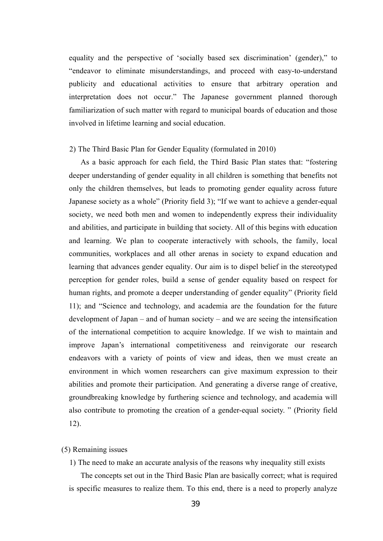equality and the perspective of 'socially based sex discrimination' (gender)," to "endeavor to eliminate misunderstandings, and proceed with easy-to-understand publicity and educational activities to ensure that arbitrary operation and interpretation does not occur." The Japanese government planned thorough familiarization of such matter with regard to municipal boards of education and those involved in lifetime learning and social education.

#### 2) The Third Basic Plan for Gender Equality (formulated in 2010)

As a basic approach for each field, the Third Basic Plan states that: "fostering deeper understanding of gender equality in all children is something that benefits not only the children themselves, but leads to promoting gender equality across future Japanese society as a whole" (Priority field 3); "If we want to achieve a gender-equal society, we need both men and women to independently express their individuality and abilities, and participate in building that society. All of this begins with education and learning. We plan to cooperate interactively with schools, the family, local communities, workplaces and all other arenas in society to expand education and learning that advances gender equality. Our aim is to dispel belief in the stereotyped perception for gender roles, build a sense of gender equality based on respect for human rights, and promote a deeper understanding of gender equality" (Priority field 11); and "Science and technology, and academia are the foundation for the future development of Japan – and of human society – and we are seeing the intensification of the international competition to acquire knowledge. If we wish to maintain and improve Japan's international competitiveness and reinvigorate our research endeavors with a variety of points of view and ideas, then we must create an environment in which women researchers can give maximum expression to their abilities and promote their participation. And generating a diverse range of creative, groundbreaking knowledge by furthering science and technology, and academia will also contribute to promoting the creation of a gender-equal society. " (Priority field 12).

# (5) Remaining issues

1) The need to make an accurate analysis of the reasons why inequality still exists

The concepts set out in the Third Basic Plan are basically correct; what is required is specific measures to realize them. To this end, there is a need to properly analyze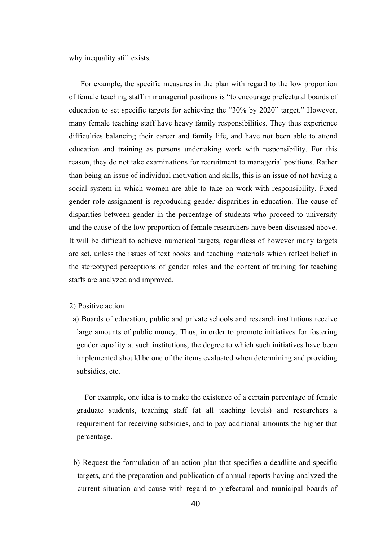why inequality still exists.

For example, the specific measures in the plan with regard to the low proportion of female teaching staff in managerial positions is "to encourage prefectural boards of education to set specific targets for achieving the "30% by 2020" target." However, many female teaching staff have heavy family responsibilities. They thus experience difficulties balancing their career and family life, and have not been able to attend education and training as persons undertaking work with responsibility. For this reason, they do not take examinations for recruitment to managerial positions. Rather than being an issue of individual motivation and skills, this is an issue of not having a social system in which women are able to take on work with responsibility. Fixed gender role assignment is reproducing gender disparities in education. The cause of disparities between gender in the percentage of students who proceed to university and the cause of the low proportion of female researchers have been discussed above. It will be difficult to achieve numerical targets, regardless of however many targets are set, unless the issues of text books and teaching materials which reflect belief in the stereotyped perceptions of gender roles and the content of training for teaching staffs are analyzed and improved.

# 2) Positive action

a) Boards of education, public and private schools and research institutions receive large amounts of public money. Thus, in order to promote initiatives for fostering gender equality at such institutions, the degree to which such initiatives have been implemented should be one of the items evaluated when determining and providing subsidies, etc.

For example, one idea is to make the existence of a certain percentage of female graduate students, teaching staff (at all teaching levels) and researchers a requirement for receiving subsidies, and to pay additional amounts the higher that percentage.

b) Request the formulation of an action plan that specifies a deadline and specific targets, and the preparation and publication of annual reports having analyzed the current situation and cause with regard to prefectural and municipal boards of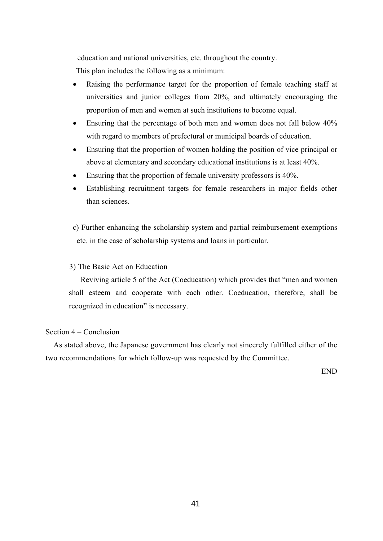education and national universities, etc. throughout the country.

This plan includes the following as a minimum:

- Raising the performance target for the proportion of female teaching staff at universities and junior colleges from 20%, and ultimately encouraging the proportion of men and women at such institutions to become equal.
- Ensuring that the percentage of both men and women does not fall below 40% with regard to members of prefectural or municipal boards of education.
- Ensuring that the proportion of women holding the position of vice principal or above at elementary and secondary educational institutions is at least 40%.
- Ensuring that the proportion of female university professors is 40%.
- Establishing recruitment targets for female researchers in major fields other than sciences.

c) Further enhancing the scholarship system and partial reimbursement exemptions etc. in the case of scholarship systems and loans in particular.

# 3) The Basic Act on Education

Reviving article 5 of the Act (Coeducation) which provides that "men and women shall esteem and cooperate with each other. Coeducation, therefore, shall be recognized in education" is necessary.

# Section 4 – Conclusion

As stated above, the Japanese government has clearly not sincerely fulfilled either of the two recommendations for which follow-up was requested by the Committee.

END